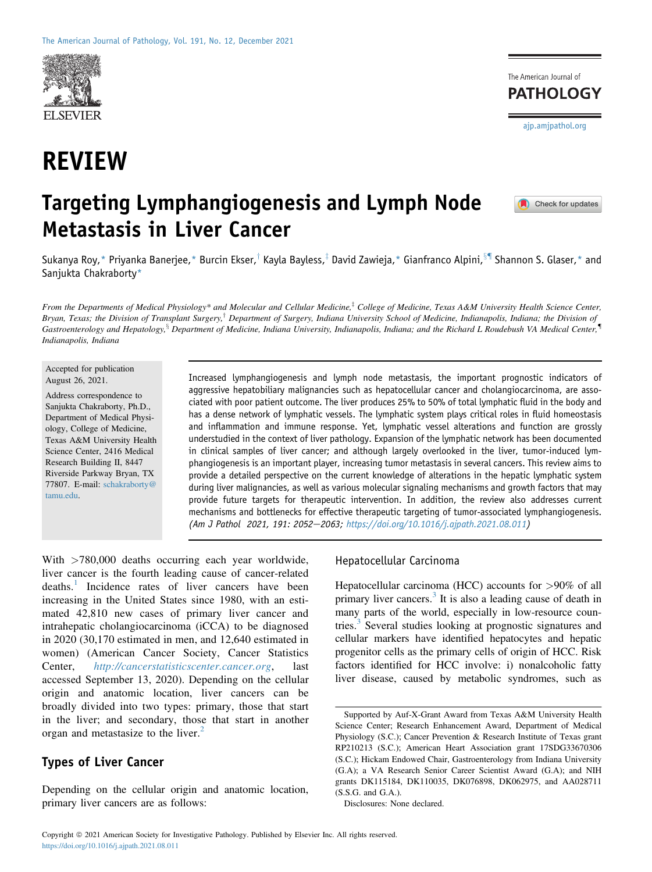

# REVIEW

The American Journal of **PATHOLOGY** [ajp.amjpathol.org](http://ajp.amjpathol.org)

## Targeting Lymphangiogenesis and Lymph Node Metastasis in Liver Cancer

 $\blacksquare$  Check for updates

Sukanya Roy,\* Priyanka Banerjee,\* Burcin Ekser,<sup>†</sup> Kayla Bayless,<sup>‡</sup> David Zawieja,\* Gianfranco Alpini,<sup>§¶</sup> Shannon S. Glaser,\* and Sanjukta Chakraborty\*

From the Departments of Medical Physiology\* and Molecular and Cellular Medicine,<sup>‡</sup> College of Medicine, Texas A&M University Health Science Center, Bryan, Texas; the Division of Transplant Surgery,<sup>†</sup> Department of Surgery, Indiana University School of Medicine, Indianapolis, Indiana; the Division of Gastroenterology and Hepatology, ${}^{8}$  Department of Medicine, Indiana University, Indianapolis, Indiana; and the Richard L Roudebush VA Medical Center, Indianapolis, Indiana

Accepted for publication August 26, 2021.

Address correspondence to Sanjukta Chakraborty, Ph.D., Department of Medical Physiology, College of Medicine, Texas A&M University Health Science Center, 2416 Medical Research Building II, 8447 Riverside Parkway Bryan, TX 77807. E-mail: [schakraborty@](mailto:schakraborty@tamu.edu) [tamu.edu.](mailto:schakraborty@tamu.edu)

Increased lymphangiogenesis and lymph node metastasis, the important prognostic indicators of aggressive hepatobiliary malignancies such as hepatocellular cancer and cholangiocarcinoma, are associated with poor patient outcome. The liver produces 25% to 50% of total lymphatic fluid in the body and has a dense network of lymphatic vessels. The lymphatic system plays critical roles in fluid homeostasis and inflammation and immune response. Yet, lymphatic vessel alterations and function are grossly understudied in the context of liver pathology. Expansion of the lymphatic network has been documented in clinical samples of liver cancer; and although largely overlooked in the liver, tumor-induced lymphangiogenesis is an important player, increasing tumor metastasis in several cancers. This review aims to provide a detailed perspective on the current knowledge of alterations in the hepatic lymphatic system during liver malignancies, as well as various molecular signaling mechanisms and growth factors that may provide future targets for therapeutic intervention. In addition, the review also addresses current mechanisms and bottlenecks for effective therapeutic targeting of tumor-associated lymphangiogenesis. (Am J Pathol 2021, 191: 2052-2063; [https://doi.org/10.1016/j.ajpath.2021.08.011\)](https://doi.org/10.1016/j.ajpath.2021.08.011)

With >780,000 deaths occurring each year worldwide, liver cancer is the fourth leading cause of cancer-related deaths.<sup>[1](#page-8-0)</sup> Incidence rates of liver cancers have been increasing in the United States since 1980, with an estimated 42,810 new cases of primary liver cancer and intrahepatic cholangiocarcinoma (iCCA) to be diagnosed in 2020 (30,170 estimated in men, and 12,640 estimated in women) (American Cancer Society, Cancer Statistics Center, <http://cancerstatisticscenter.cancer.org>, last accessed September 13, 2020). Depending on the cellular origin and anatomic location, liver cancers can be broadly divided into two types: primary, those that start in the liver; and secondary, those that start in another organ and metastasize to the liver.<sup>[2](#page-8-1)</sup>

## Types of Liver Cancer

Depending on the cellular origin and anatomic location, primary liver cancers are as follows:

#### Hepatocellular Carcinoma

Hepatocellular carcinoma (HCC) accounts for >90% of all primary liver cancers.[3](#page-8-2) It is also a leading cause of death in many parts of the world, especially in low-resource coun-tries.<sup>[3](#page-8-2)</sup> Several studies looking at prognostic signatures and cellular markers have identified hepatocytes and hepatic progenitor cells as the primary cells of origin of HCC. Risk factors identified for HCC involve: i) nonalcoholic fatty liver disease, caused by metabolic syndromes, such as

Disclosures: None declared.

Supported by Auf-X-Grant Award from Texas A&M University Health Science Center; Research Enhancement Award, Department of Medical Physiology (S.C.); Cancer Prevention & Research Institute of Texas grant RP210213 (S.C.); American Heart Association grant 17SDG33670306 (S.C.); Hickam Endowed Chair, Gastroenterology from Indiana University (G.A); a VA Research Senior Career Scientist Award (G.A); and NIH grants DK115184, DK110035, DK076898, DK062975, and AA028711 (S.S.G. and G.A.).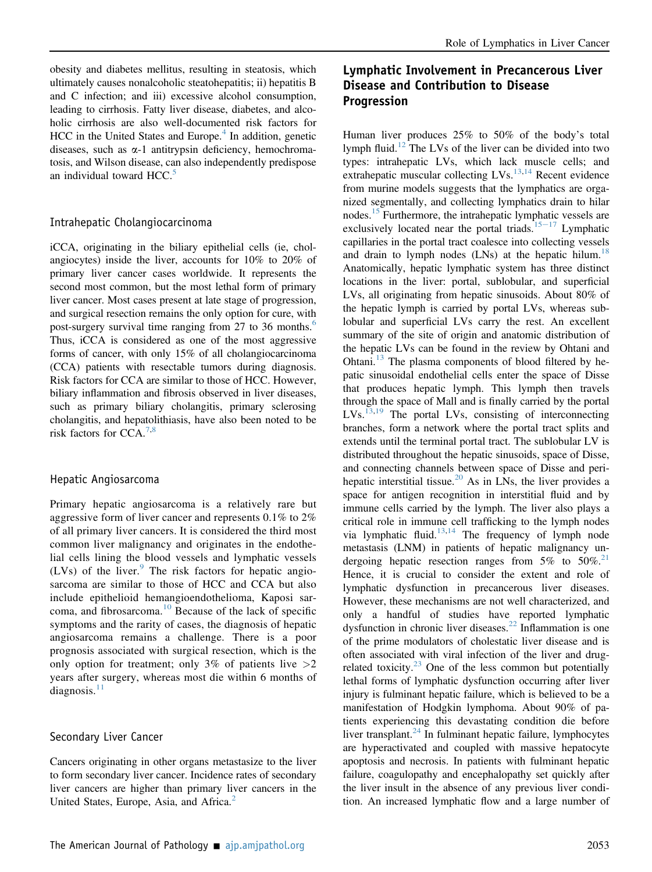obesity and diabetes mellitus, resulting in steatosis, which ultimately causes nonalcoholic steatohepatitis; ii) hepatitis B and C infection; and iii) excessive alcohol consumption, leading to cirrhosis. Fatty liver disease, diabetes, and alcoholic cirrhosis are also well-documented risk factors for  $HCC$  in the United States and Europe.<sup>[4](#page-8-3)</sup> In addition, genetic diseases, such as  $\alpha$ -1 antitrypsin deficiency, hemochromatosis, and Wilson disease, can also independently predispose an individual toward  $HCC<sup>5</sup>$  $HCC<sup>5</sup>$  $HCC<sup>5</sup>$ .

#### Intrahepatic Cholangiocarcinoma

iCCA, originating in the biliary epithelial cells (ie, cholangiocytes) inside the liver, accounts for 10% to 20% of primary liver cancer cases worldwide. It represents the second most common, but the most lethal form of primary liver cancer. Most cases present at late stage of progression, and surgical resection remains the only option for cure, with post-surgery survival time ranging from 27 to 3[6](#page-9-1) months.<sup>6</sup> Thus, iCCA is considered as one of the most aggressive forms of cancer, with only 15% of all cholangiocarcinoma (CCA) patients with resectable tumors during diagnosis. Risk factors for CCA are similar to those of HCC. However, biliary inflammation and fibrosis observed in liver diseases, such as primary biliary cholangitis, primary sclerosing cholangitis, and hepatolithiasis, have also been noted to be risk factors for  $CCA.^{7,8}$  $CCA.^{7,8}$  $CCA.^{7,8}$  $CCA.^{7,8}$ 

#### Hepatic Angiosarcoma

Primary hepatic angiosarcoma is a relatively rare but aggressive form of liver cancer and represents 0.1% to 2% of all primary liver cancers. It is considered the third most common liver malignancy and originates in the endothelial cells lining the blood vessels and lymphatic vessels (LVs) of the liver. $9$  The risk factors for hepatic angiosarcoma are similar to those of HCC and CCA but also include epithelioid hemangioendothelioma, Kaposi sarcoma, and fibrosarcoma.[10](#page-9-5) Because of the lack of specific symptoms and the rarity of cases, the diagnosis of hepatic angiosarcoma remains a challenge. There is a poor prognosis associated with surgical resection, which is the only option for treatment; only 3% of patients live  $>2$ years after surgery, whereas most die within 6 months of diagnosis. $11$ 

#### Secondary Liver Cancer

Cancers originating in other organs metastasize to the liver to form secondary liver cancer. Incidence rates of secondary liver cancers are higher than primary liver cancers in the United States, Europe, Asia, and Africa.<sup>[2](#page-8-1)</sup>

## Lymphatic Involvement in Precancerous Liver Disease and Contribution to Disease Progression

Human liver produces 25% to 50% of the body's total lymph fluid.<sup>[12](#page-9-7)</sup> The LVs of the liver can be divided into two types: intrahepatic LVs, which lack muscle cells; and extrahepatic muscular collecting  $LVs$ .<sup>[13](#page-9-8)[,14](#page-9-9)</sup> Recent evidence from murine models suggests that the lymphatics are organized segmentally, and collecting lymphatics drain to hilar nodes.<sup>[15](#page-9-10)</sup> Furthermore, the intrahepatic lymphatic vessels are exclusively located near the portal triads. $15-17$  $15-17$  $15-17$  Lymphatic capillaries in the portal tract coalesce into collecting vessels and drain to lymph nodes  $(LNs)$  at the hepatic hilum.<sup>18</sup> Anatomically, hepatic lymphatic system has three distinct locations in the liver: portal, sublobular, and superficial LVs, all originating from hepatic sinusoids. About 80% of the hepatic lymph is carried by portal LVs, whereas sublobular and superficial LVs carry the rest. An excellent summary of the site of origin and anatomic distribution of the hepatic LVs can be found in the review by Ohtani and Ohtani. $13$  The plasma components of blood filtered by hepatic sinusoidal endothelial cells enter the space of Disse that produces hepatic lymph. This lymph then travels through the space of Mall and is finally carried by the portal LVs.<sup>[13,](#page-9-8)[19](#page-9-12)</sup> The portal LVs, consisting of interconnecting branches, form a network where the portal tract splits and extends until the terminal portal tract. The sublobular LV is distributed throughout the hepatic sinusoids, space of Disse, and connecting channels between space of Disse and peri-hepatic interstitial tissue.<sup>[20](#page-9-13)</sup> As in LNs, the liver provides a space for antigen recognition in interstitial fluid and by immune cells carried by the lymph. The liver also plays a critical role in immune cell trafficking to the lymph nodes via lymphatic fluid. $13,14$  $13,14$  The frequency of lymph node metastasis (LNM) in patients of hepatic malignancy undergoing hepatic resection ranges from 5% to 50%.<sup>21</sup> Hence, it is crucial to consider the extent and role of lymphatic dysfunction in precancerous liver diseases. However, these mechanisms are not well characterized, and only a handful of studies have reported lymphatic dysfunction in chronic liver diseases.<sup>[22](#page-9-15)</sup> Inflammation is one of the prime modulators of cholestatic liver disease and is often associated with viral infection of the liver and drugrelated toxicity. $23$  One of the less common but potentially lethal forms of lymphatic dysfunction occurring after liver injury is fulminant hepatic failure, which is believed to be a manifestation of Hodgkin lymphoma. About 90% of patients experiencing this devastating condition die before liver transplant. $^{24}$  $^{24}$  $^{24}$  In fulminant hepatic failure, lymphocytes are hyperactivated and coupled with massive hepatocyte apoptosis and necrosis. In patients with fulminant hepatic failure, coagulopathy and encephalopathy set quickly after the liver insult in the absence of any previous liver condition. An increased lymphatic flow and a large number of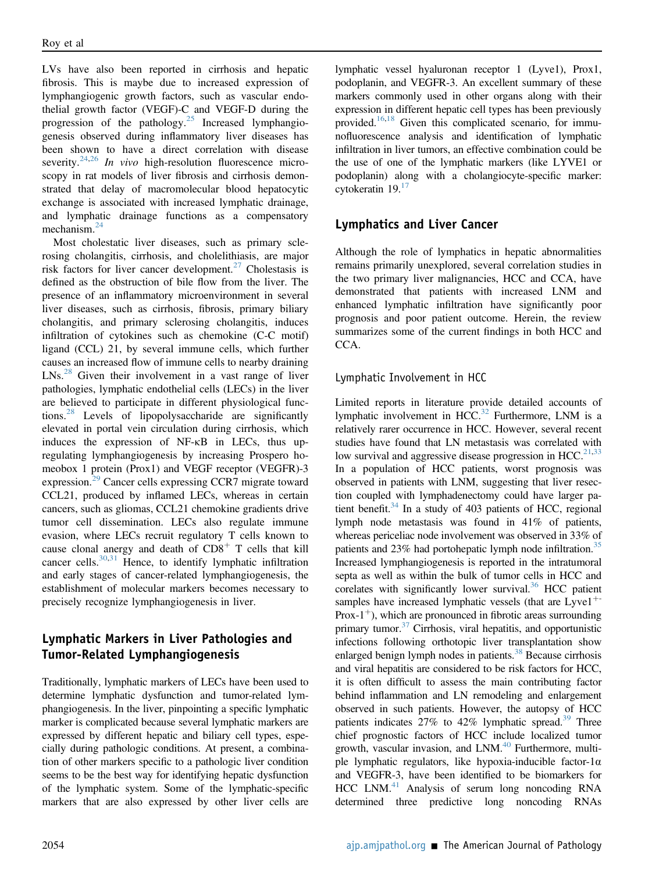LVs have also been reported in cirrhosis and hepatic fibrosis. This is maybe due to increased expression of lymphangiogenic growth factors, such as vascular endothelial growth factor (VEGF)-C and VEGF-D during the progression of the pathology.[25](#page-9-18) Increased lymphangiogenesis observed during inflammatory liver diseases has been shown to have a direct correlation with disease severity.<sup>[24](#page-9-17),[26](#page-9-19)</sup> In vivo high-resolution fluorescence microscopy in rat models of liver fibrosis and cirrhosis demonstrated that delay of macromolecular blood hepatocytic exchange is associated with increased lymphatic drainage, and lymphatic drainage functions as a compensatory mechanism.[24](#page-9-17)

Most cholestatic liver diseases, such as primary sclerosing cholangitis, cirrhosis, and cholelithiasis, are major risk factors for liver cancer development.<sup>[27](#page-9-20)</sup> Cholestasis is defined as the obstruction of bile flow from the liver. The presence of an inflammatory microenvironment in several liver diseases, such as cirrhosis, fibrosis, primary biliary cholangitis, and primary sclerosing cholangitis, induces infiltration of cytokines such as chemokine (C-C motif) ligand (CCL) 21, by several immune cells, which further causes an increased flow of immune cells to nearby draining LNs.<sup>[28](#page-9-21)</sup> Given their involvement in a vast range of liver pathologies, lymphatic endothelial cells (LECs) in the liver are believed to participate in different physiological functions.[28](#page-9-21) Levels of lipopolysaccharide are significantly elevated in portal vein circulation during cirrhosis, which induces the expression of NF-kB in LECs, thus upregulating lymphangiogenesis by increasing Prospero homeobox 1 protein (Prox1) and VEGF receptor (VEGFR)-3 expression.[29](#page-9-22) Cancer cells expressing CCR7 migrate toward CCL21, produced by inflamed LECs, whereas in certain cancers, such as gliomas, CCL21 chemokine gradients drive tumor cell dissemination. LECs also regulate immune evasion, where LECs recruit regulatory T cells known to cause clonal anergy and death of  $CD8<sup>+</sup>$  T cells that kill cancer cells. $30,31$  $30,31$  Hence, to identify lymphatic infiltration and early stages of cancer-related lymphangiogenesis, the establishment of molecular markers becomes necessary to precisely recognize lymphangiogenesis in liver.

## Lymphatic Markers in Liver Pathologies and Tumor-Related Lymphangiogenesis

Traditionally, lymphatic markers of LECs have been used to determine lymphatic dysfunction and tumor-related lymphangiogenesis. In the liver, pinpointing a specific lymphatic marker is complicated because several lymphatic markers are expressed by different hepatic and biliary cell types, especially during pathologic conditions. At present, a combination of other markers specific to a pathologic liver condition seems to be the best way for identifying hepatic dysfunction of the lymphatic system. Some of the lymphatic-specific markers that are also expressed by other liver cells are lymphatic vessel hyaluronan receptor 1 (Lyve1), Prox1, podoplanin, and VEGFR-3. An excellent summary of these markers commonly used in other organs along with their expression in different hepatic cell types has been previously provided.[16](#page-9-25),[18](#page-9-11) Given this complicated scenario, for immunofluorescence analysis and identification of lymphatic infiltration in liver tumors, an effective combination could be the use of one of the lymphatic markers (like LYVE1 or podoplanin) along with a cholangiocyte-specific marker: cytokeratin  $19<sup>17</sup>$  $19<sup>17</sup>$  $19<sup>17</sup>$ 

## Lymphatics and Liver Cancer

Although the role of lymphatics in hepatic abnormalities remains primarily unexplored, several correlation studies in the two primary liver malignancies, HCC and CCA, have demonstrated that patients with increased LNM and enhanced lymphatic infiltration have significantly poor prognosis and poor patient outcome. Herein, the review summarizes some of the current findings in both HCC and CCA.

#### Lymphatic Involvement in HCC

Limited reports in literature provide detailed accounts of lymphatic involvement in  $HCC$ <sup>[32](#page-9-27)</sup> Furthermore, LNM is a relatively rarer occurrence in HCC. However, several recent studies have found that LN metastasis was correlated with low survival and aggressive disease progression in HCC.<sup>[21,](#page-9-14)[33](#page-9-28)</sup> In a population of HCC patients, worst prognosis was observed in patients with LNM, suggesting that liver resection coupled with lymphadenectomy could have larger patient benefit. $34$  In a study of 403 patients of HCC, regional lymph node metastasis was found in 41% of patients, whereas periceliac node involvement was observed in 33% of patients and  $23\%$  had portohepatic lymph node infiltration.<sup>[35](#page-9-30)</sup> Increased lymphangiogenesis is reported in the intratumoral septa as well as within the bulk of tumor cells in HCC and corelates with significantly lower survival.<sup>36</sup> HCC patient samples have increased lymphatic vessels (that are  $L$ yve $1^{++}$ Prox-1<sup>+</sup>), which are pronounced in fibrotic areas surrounding primary tumor.<sup>37</sup> Cirrhosis, viral hepatitis, and opportunistic infections following orthotopic liver transplantation show enlarged benign lymph nodes in patients.<sup>[38](#page-9-33)</sup> Because cirrhosis and viral hepatitis are considered to be risk factors for HCC, it is often difficult to assess the main contributing factor behind inflammation and LN remodeling and enlargement observed in such patients. However, the autopsy of HCC patients indicates  $27\%$  to  $42\%$  lymphatic spread.<sup>39</sup> Three chief prognostic factors of HCC include localized tumor growth, vascular invasion, and LNM.<sup>40</sup> Furthermore, multiple lymphatic regulators, like hypoxia-inducible factor-1 $\alpha$ and VEGFR-3, have been identified to be biomarkers for HCC LNM. $41$  Analysis of serum long noncoding RNA determined three predictive long noncoding RNAs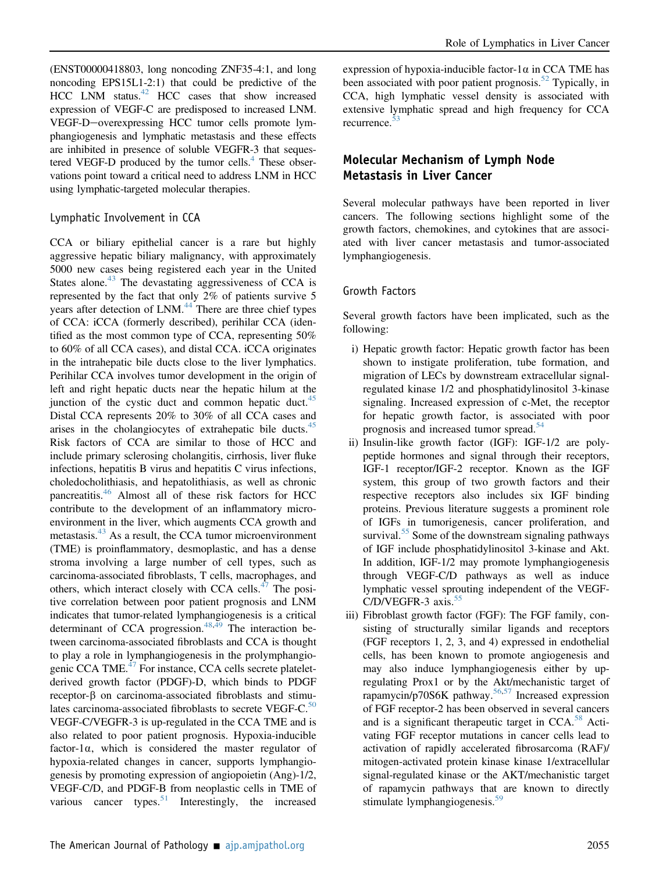(ENST00000418803, long noncoding ZNF35-4:1, and long noncoding EPS15L1-2:1) that could be predictive of the HCC LNM status.<sup>42</sup> HCC cases that show increased expression of VEGF-C are predisposed to increased LNM. VEGF-D-overexpressing HCC tumor cells promote lymphangiogenesis and lymphatic metastasis and these effects are inhibited in presence of soluble VEGFR-3 that sequestered VEGF-D produced by the tumor cells. $4$  These observations point toward a critical need to address LNM in HCC using lymphatic-targeted molecular therapies.

#### Lymphatic Involvement in CCA

CCA or biliary epithelial cancer is a rare but highly aggressive hepatic biliary malignancy, with approximately 5000 new cases being registered each year in the United States alone. $43$  The devastating aggressiveness of CCA is represented by the fact that only 2% of patients survive 5 years after detection of LNM.<sup>[44](#page-9-39)</sup> There are three chief types of CCA: iCCA (formerly described), perihilar CCA (identified as the most common type of CCA, representing 50% to 60% of all CCA cases), and distal CCA. iCCA originates in the intrahepatic bile ducts close to the liver lymphatics. Perihilar CCA involves tumor development in the origin of left and right hepatic ducts near the hepatic hilum at the junction of the cystic duct and common hepatic duct. $45$ Distal CCA represents 20% to 30% of all CCA cases and arises in the cholangiocytes of extrahepatic bile ducts.<sup>[45](#page-10-0)</sup> Risk factors of CCA are similar to those of HCC and include primary sclerosing cholangitis, cirrhosis, liver fluke infections, hepatitis B virus and hepatitis C virus infections, choledocholithiasis, and hepatolithiasis, as well as chronic pancreatitis.[46](#page-10-1) Almost all of these risk factors for HCC contribute to the development of an inflammatory microenvironment in the liver, which augments CCA growth and metastasis.<sup>[43](#page-9-38)</sup> As a result, the CCA tumor microenvironment (TME) is proinflammatory, desmoplastic, and has a dense stroma involving a large number of cell types, such as carcinoma-associated fibroblasts, T cells, macrophages, and others, which interact closely with CCA cells. $47$  The positive correlation between poor patient prognosis and LNM indicates that tumor-related lymphangiogenesis is a critical determinant of CCA progression.<sup>[48,](#page-10-3)[49](#page-10-4)</sup> The interaction between carcinoma-associated fibroblasts and CCA is thought to play a role in lymphangiogenesis in the prolymphangio-genic CCA TME.<sup>[47](#page-10-2)</sup> For instance, CCA cells secrete plateletderived growth factor (PDGF)-D, which binds to PDGF  $receptor-\beta$  on carcinoma-associated fibroblasts and stimu-lates carcinoma-associated fibroblasts to secrete VEGF-C.<sup>[50](#page-10-5)</sup> VEGF-C/VEGFR-3 is up-regulated in the CCA TME and is also related to poor patient prognosis. Hypoxia-inducible factor-1 $\alpha$ , which is considered the master regulator of hypoxia-related changes in cancer, supports lymphangiogenesis by promoting expression of angiopoietin (Ang)-1/2, VEGF-C/D, and PDGF-B from neoplastic cells in TME of various cancer types.<sup>[51](#page-10-6)</sup> Interestingly, the increased

expression of hypoxia-inducible factor-1 $\alpha$  in CCA TME has been associated with poor patient prognosis.<sup>[52](#page-10-7)</sup> Typically, in CCA, high lymphatic vessel density is associated with extensive lymphatic spread and high frequency for CCA recurrence.[53](#page-10-8)

## Molecular Mechanism of Lymph Node Metastasis in Liver Cancer

Several molecular pathways have been reported in liver cancers. The following sections highlight some of the growth factors, chemokines, and cytokines that are associated with liver cancer metastasis and tumor-associated lymphangiogenesis.

#### Growth Factors

Several growth factors have been implicated, such as the following:

- i) Hepatic growth factor: Hepatic growth factor has been shown to instigate proliferation, tube formation, and migration of LECs by downstream extracellular signalregulated kinase 1/2 and phosphatidylinositol 3-kinase signaling. Increased expression of c-Met, the receptor for hepatic growth factor, is associated with poor prognosis and increased tumor spread.<sup>[54](#page-10-9)</sup>
- ii) Insulin-like growth factor (IGF): IGF-1/2 are polypeptide hormones and signal through their receptors, IGF-1 receptor/IGF-2 receptor. Known as the IGF system, this group of two growth factors and their respective receptors also includes six IGF binding proteins. Previous literature suggests a prominent role of IGFs in tumorigenesis, cancer proliferation, and survival.<sup>[55](#page-10-10)</sup> Some of the downstream signaling pathways of IGF include phosphatidylinositol 3-kinase and Akt. In addition, IGF-1/2 may promote lymphangiogenesis through VEGF-C/D pathways as well as induce lymphatic vessel sprouting independent of the VEGF-C/D/VEGFR-3 axis.<sup>[55](#page-10-10)</sup>
- iii) Fibroblast growth factor (FGF): The FGF family, consisting of structurally similar ligands and receptors (FGF receptors 1, 2, 3, and 4) expressed in endothelial cells, has been known to promote angiogenesis and may also induce lymphangiogenesis either by upregulating Prox1 or by the Akt/mechanistic target of rapamycin/p70S6K pathway.[56](#page-10-11),[57](#page-10-12) Increased expression of FGF receptor-2 has been observed in several cancers and is a significant therapeutic target in CCA.<sup>[58](#page-10-13)</sup> Activating FGF receptor mutations in cancer cells lead to activation of rapidly accelerated fibrosarcoma (RAF)/ mitogen-activated protein kinase kinase 1/extracellular signal-regulated kinase or the AKT/mechanistic target of rapamycin pathways that are known to directly stimulate lymphangiogenesis.<sup>[59](#page-10-14)</sup>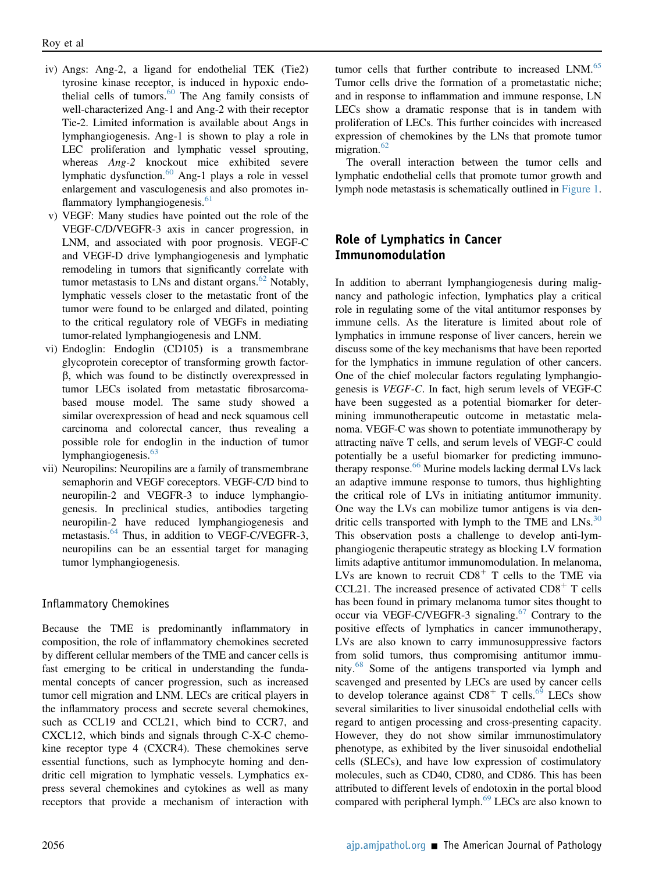- iv) Angs: Ang-2, a ligand for endothelial TEK (Tie2) tyrosine kinase receptor, is induced in hypoxic endothelial cells of tumors. $60$  The Ang family consists of well-characterized Ang-1 and Ang-2 with their receptor Tie-2. Limited information is available about Angs in lymphangiogenesis. Ang-1 is shown to play a role in LEC proliferation and lymphatic vessel sprouting, whereas Ang-2 knockout mice exhibited severe lymphatic dysfunction. $60$  Ang-1 plays a role in vessel enlargement and vasculogenesis and also promotes in-flammatory lymphangiogenesis.<sup>[61](#page-10-16)</sup>
- v) VEGF: Many studies have pointed out the role of the VEGF-C/D/VEGFR-3 axis in cancer progression, in LNM, and associated with poor prognosis. VEGF-C and VEGF-D drive lymphangiogenesis and lymphatic remodeling in tumors that significantly correlate with tumor metastasis to LNs and distant organs. $62$  Notably, lymphatic vessels closer to the metastatic front of the tumor were found to be enlarged and dilated, pointing to the critical regulatory role of VEGFs in mediating tumor-related lymphangiogenesis and LNM.
- vi) Endoglin: Endoglin (CD105) is a transmembrane glycoprotein coreceptor of transforming growth factor- $\beta$ , which was found to be distinctly overexpressed in tumor LECs isolated from metastatic fibrosarcomabased mouse model. The same study showed a similar overexpression of head and neck squamous cell carcinoma and colorectal cancer, thus revealing a possible role for endoglin in the induction of tumor lymphangiogenesis.<sup>[63](#page-10-18)</sup>
- vii) Neuropilins: Neuropilins are a family of transmembrane semaphorin and VEGF coreceptors. VEGF-C/D bind to neuropilin-2 and VEGFR-3 to induce lymphangiogenesis. In preclinical studies, antibodies targeting neuropilin-2 have reduced lymphangiogenesis and metastasis.<sup>[64](#page-10-19)</sup> Thus, in addition to VEGF-C/VEGFR-3, neuropilins can be an essential target for managing tumor lymphangiogenesis.

#### Inflammatory Chemokines

Because the TME is predominantly inflammatory in composition, the role of inflammatory chemokines secreted by different cellular members of the TME and cancer cells is fast emerging to be critical in understanding the fundamental concepts of cancer progression, such as increased tumor cell migration and LNM. LECs are critical players in the inflammatory process and secrete several chemokines, such as CCL19 and CCL21, which bind to CCR7, and CXCL12, which binds and signals through C-X-C chemokine receptor type 4 (CXCR4). These chemokines serve essential functions, such as lymphocyte homing and dendritic cell migration to lymphatic vessels. Lymphatics express several chemokines and cytokines as well as many receptors that provide a mechanism of interaction with

tumor cells that further contribute to increased LNM.<sup>[65](#page-10-20)</sup> Tumor cells drive the formation of a prometastatic niche; and in response to inflammation and immune response, LN LECs show a dramatic response that is in tandem with proliferation of LECs. This further coincides with increased expression of chemokines by the LNs that promote tumor migration. $62$ 

The overall interaction between the tumor cells and lymphatic endothelial cells that promote tumor growth and lymph node metastasis is schematically outlined in [Figure 1](#page-5-0).

## Role of Lymphatics in Cancer Immunomodulation

In addition to aberrant lymphangiogenesis during malignancy and pathologic infection, lymphatics play a critical role in regulating some of the vital antitumor responses by immune cells. As the literature is limited about role of lymphatics in immune response of liver cancers, herein we discuss some of the key mechanisms that have been reported for the lymphatics in immune regulation of other cancers. One of the chief molecular factors regulating lymphangiogenesis is VEGF-C. In fact, high serum levels of VEGF-C have been suggested as a potential biomarker for determining immunotherapeutic outcome in metastatic melanoma. VEGF-C was shown to potentiate immunotherapy by attracting naïve T cells, and serum levels of VEGF-C could potentially be a useful biomarker for predicting immuno-therapy response.<sup>[66](#page-10-21)</sup> Murine models lacking dermal LVs lack an adaptive immune response to tumors, thus highlighting the critical role of LVs in initiating antitumor immunity. One way the LVs can mobilize tumor antigens is via dendritic cells transported with lymph to the TME and  $LNs$ .<sup>[30](#page-9-23)</sup> This observation posts a challenge to develop anti-lymphangiogenic therapeutic strategy as blocking LV formation limits adaptive antitumor immunomodulation. In melanoma, LVs are known to recruit  $CD8<sup>+</sup>$  T cells to the TME via CCL21. The increased presence of activated  $CD8<sup>+</sup>$  T cells has been found in primary melanoma tumor sites thought to occur via VEGF-C/VEGFR-3 signaling.<sup>[67](#page-10-22)</sup> Contrary to the positive effects of lymphatics in cancer immunotherapy, LVs are also known to carry immunosuppressive factors from solid tumors, thus compromising antitumor immu-nity.<sup>[68](#page-10-23)</sup> Some of the antigens transported via lymph and scavenged and presented by LECs are used by cancer cells to develop tolerance against  $CD8<sup>+</sup>$  T cells.<sup>[69](#page-10-24)</sup> LECs show several similarities to liver sinusoidal endothelial cells with regard to antigen processing and cross-presenting capacity. However, they do not show similar immunostimulatory phenotype, as exhibited by the liver sinusoidal endothelial cells (SLECs), and have low expression of costimulatory molecules, such as CD40, CD80, and CD86. This has been attributed to different levels of endotoxin in the portal blood compared with peripheral lymph. $69$  LECs are also known to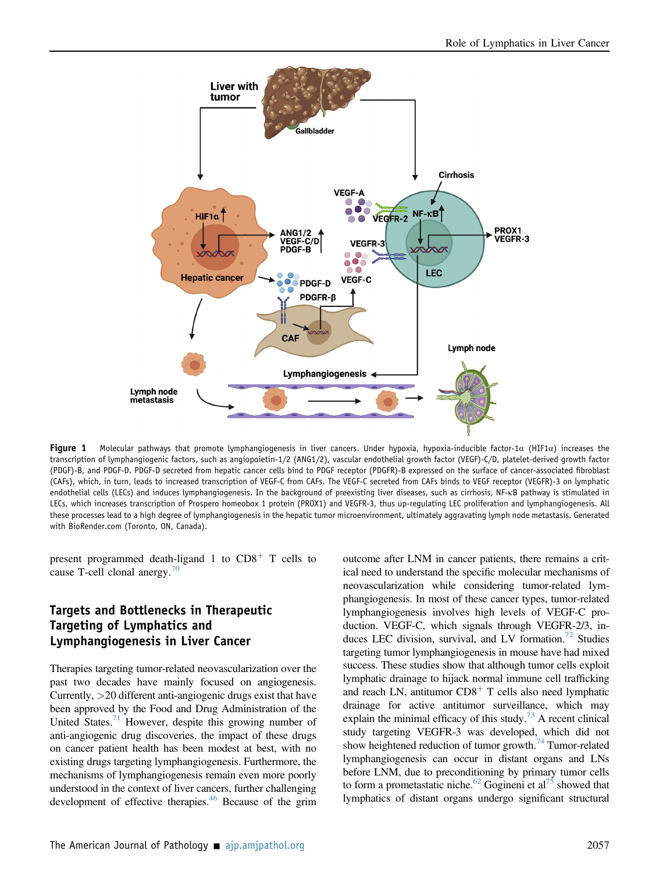<span id="page-5-0"></span>

Figure 1 Molecular pathways that promote lymphangiogenesis in liver cancers. Under hypoxia, hypoxia-inducible factor-1 $\alpha$  (HIF1 $\alpha$ ) increases the transcription of lymphangiogenic factors, such as angiopoietin-1/2 (ANG1/2), vascular endothelial growth factor (VEGF)-C/D, platelet-derived growth factor (PDGF)-B, and PDGF-D. PDGF-D secreted from hepatic cancer cells bind to PDGF receptor (PDGFR)-B expressed on the surface of cancer-associated fibroblast (CAFs), which, in turn, leads to increased transcription of VEGF-C from CAFs. The VEGF-C secreted from CAFs binds to VEGF receptor (VEGFR)-3 on lymphatic endothelial cells (LECs) and induces lymphangiogenesis. In the background of preexisting liver diseases, such as cirrhosis, NF-kB pathway is stimulated in LECs, which increases transcription of Prospero homeobox 1 protein (PROX1) and VEGFR-3, thus up-regulating LEC proliferation and lymphangiogenesis. All these processes lead to a high degree of lymphangiogenesis in the hepatic tumor microenvironment, ultimately aggravating lymph node metastasis. Generated with BioRender.com (Toronto, ON, Canada).

present programmed death-ligand 1 to  $CD8<sup>+</sup>$  T cells to cause T-cell clonal anergy. $70$ 

## Targets and Bottlenecks in Therapeutic Targeting of Lymphatics and Lymphangiogenesis in Liver Cancer

Therapies targeting tumor-related neovascularization over the past two decades have mainly focused on angiogenesis. Currently, >20 different anti-angiogenic drugs exist that have been approved by the Food and Drug Administration of the United States.<sup>71</sup> However, despite this growing number of anti-angiogenic drug discoveries, the impact of these drugs on cancer patient health has been modest at best, with no existing drugs targeting lymphangiogenesis. Furthermore, the mechanisms of lymphangiogenesis remain even more poorly understood in the context of liver cancers, further challenging development of effective therapies.<sup>[46](#page-10-1)</sup> Because of the grim

outcome after LNM in cancer patients, there remains a critical need to understand the specific molecular mechanisms of neovascularization while considering tumor-related lymphangiogenesis. In most of these cancer types, tumor-related lymphangiogenesis involves high levels of VEGF-C production. VEGF-C, which signals through VEGFR-2/3, induces LEC division, survival, and LV formation.<sup>72</sup> Studies targeting tumor lymphangiogenesis in mouse have had mixed success. These studies show that although tumor cells exploit lymphatic drainage to hijack normal immune cell trafficking and reach LN, antitumor  $CD8<sup>+</sup>$  T cells also need lymphatic drainage for active antitumor surveillance, which may explain the minimal efficacy of this study.<sup>[73](#page-10-28)</sup> A recent clinical study targeting VEGFR-3 was developed, which did not show heightened reduction of tumor growth.<sup>74</sup> Tumor-related lymphangiogenesis can occur in distant organs and LNs before LNM, due to preconditioning by primary tumor cells to form a prometastatic niche.<sup>[62](#page-10-17)</sup> Gogineni et al<sup>75</sup> showed that lymphatics of distant organs undergo significant structural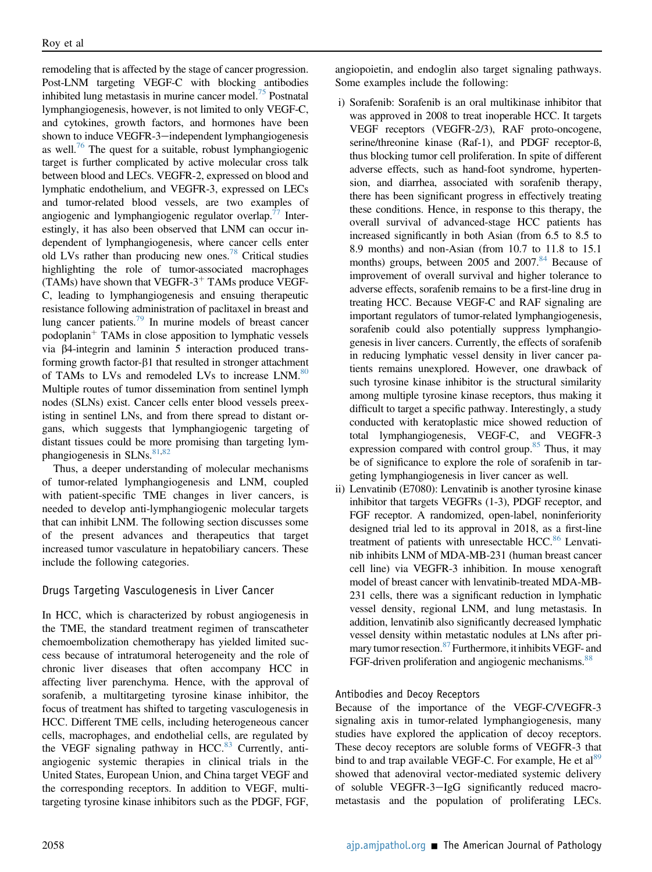remodeling that is affected by the stage of cancer progression. Post-LNM targeting VEGF-C with blocking antibodies inhibited lung metastasis in murine cancer model.<sup>[75](#page-10-30)</sup> Postnatal lymphangiogenesis, however, is not limited to only VEGF-C, and cytokines, growth factors, and hormones have been shown to induce VEGFR-3-independent lymphangiogenesis as well.<sup>[76](#page-10-31)</sup> The quest for a suitable, robust lymphangiogenic target is further complicated by active molecular cross talk between blood and LECs. VEGFR-2, expressed on blood and lymphatic endothelium, and VEGFR-3, expressed on LECs and tumor-related blood vessels, are two examples of angiogenic and lymphangiogenic regulator overlap.<sup>77</sup> Interestingly, it has also been observed that LNM can occur independent of lymphangiogenesis, where cancer cells enter old LVs rather than producing new ones[.78](#page-10-33) Critical studies highlighting the role of tumor-associated macrophages (TAMs) have shown that VEGFR- $3<sup>+</sup>$  TAMs produce VEGF-C, leading to lymphangiogenesis and ensuing therapeutic resistance following administration of paclitaxel in breast and lung cancer patients.<sup>79</sup> In murine models of breast cancer podoplanin<sup>+</sup> TAMs in close apposition to lymphatic vessels via b4-integrin and laminin 5 interaction produced transforming growth factor- $\beta$ 1 that resulted in stronger attachment of TAMs to LVs and remodeled LVs to increase LNM.<sup>[80](#page-11-0)</sup> Multiple routes of tumor dissemination from sentinel lymph nodes (SLNs) exist. Cancer cells enter blood vessels preexisting in sentinel LNs, and from there spread to distant organs, which suggests that lymphangiogenic targeting of distant tissues could be more promising than targeting lym-phangiogenesis in SLNs.<sup>[81,](#page-11-1)[82](#page-11-2)</sup>

Thus, a deeper understanding of molecular mechanisms of tumor-related lymphangiogenesis and LNM, coupled with patient-specific TME changes in liver cancers, is needed to develop anti-lymphangiogenic molecular targets that can inhibit LNM. The following section discusses some of the present advances and therapeutics that target increased tumor vasculature in hepatobiliary cancers. These include the following categories.

#### Drugs Targeting Vasculogenesis in Liver Cancer

In HCC, which is characterized by robust angiogenesis in the TME, the standard treatment regimen of transcatheter chemoembolization chemotherapy has yielded limited success because of intratumoral heterogeneity and the role of chronic liver diseases that often accompany HCC in affecting liver parenchyma. Hence, with the approval of sorafenib, a multitargeting tyrosine kinase inhibitor, the focus of treatment has shifted to targeting vasculogenesis in HCC. Different TME cells, including heterogeneous cancer cells, macrophages, and endothelial cells, are regulated by the VEGF signaling pathway in HCC.<sup>[83](#page-11-3)</sup> Currently, antiangiogenic systemic therapies in clinical trials in the United States, European Union, and China target VEGF and the corresponding receptors. In addition to VEGF, multitargeting tyrosine kinase inhibitors such as the PDGF, FGF,

angiopoietin, and endoglin also target signaling pathways. Some examples include the following:

- i) Sorafenib: Sorafenib is an oral multikinase inhibitor that was approved in 2008 to treat inoperable HCC. It targets VEGF receptors (VEGFR-2/3), RAF proto-oncogene, serine/threonine kinase (Raf-1), and PDGF receptor-ß, thus blocking tumor cell proliferation. In spite of different adverse effects, such as hand-foot syndrome, hypertension, and diarrhea, associated with sorafenib therapy, there has been significant progress in effectively treating these conditions. Hence, in response to this therapy, the overall survival of advanced-stage HCC patients has increased significantly in both Asian (from 6.5 to 8.5 to 8.9 months) and non-Asian (from 10.7 to 11.8 to 15.1 months) groups, between 2005 and 2007.<sup>[84](#page-11-4)</sup> Because of improvement of overall survival and higher tolerance to adverse effects, sorafenib remains to be a first-line drug in treating HCC. Because VEGF-C and RAF signaling are important regulators of tumor-related lymphangiogenesis, sorafenib could also potentially suppress lymphangiogenesis in liver cancers. Currently, the effects of sorafenib in reducing lymphatic vessel density in liver cancer patients remains unexplored. However, one drawback of such tyrosine kinase inhibitor is the structural similarity among multiple tyrosine kinase receptors, thus making it difficult to target a specific pathway. Interestingly, a study conducted with keratoplastic mice showed reduction of total lymphangiogenesis, VEGF-C, and VEGFR-3 expression compared with control group. $85$  Thus, it may be of significance to explore the role of sorafenib in targeting lymphangiogenesis in liver cancer as well.
- ii) Lenvatinib (E7080): Lenvatinib is another tyrosine kinase inhibitor that targets VEGFRs (1-3), PDGF receptor, and FGF receptor. A randomized, open-label, noninferiority designed trial led to its approval in 2018, as a first-line treatment of patients with unresectable HCC.<sup>86</sup> Lenvatinib inhibits LNM of MDA-MB-231 (human breast cancer cell line) via VEGFR-3 inhibition. In mouse xenograft model of breast cancer with lenvatinib-treated MDA-MB-231 cells, there was a significant reduction in lymphatic vessel density, regional LNM, and lung metastasis. In addition, lenvatinib also significantly decreased lymphatic vessel density within metastatic nodules at LNs after primary tumor resection.<sup>87</sup> Furthermore, it inhibits VEGF- and FGF-driven proliferation and angiogenic mechanisms.<sup>[88](#page-11-8)</sup>

#### Antibodies and Decoy Receptors

Because of the importance of the VEGF-C/VEGFR-3 signaling axis in tumor-related lymphangiogenesis, many studies have explored the application of decoy receptors. These decoy receptors are soluble forms of VEGFR-3 that bind to and trap available VEGF-C. For example, He et al<sup>89</sup> showed that adenoviral vector-mediated systemic delivery of soluble VEGFR-3-IgG significantly reduced macrometastasis and the population of proliferating LECs.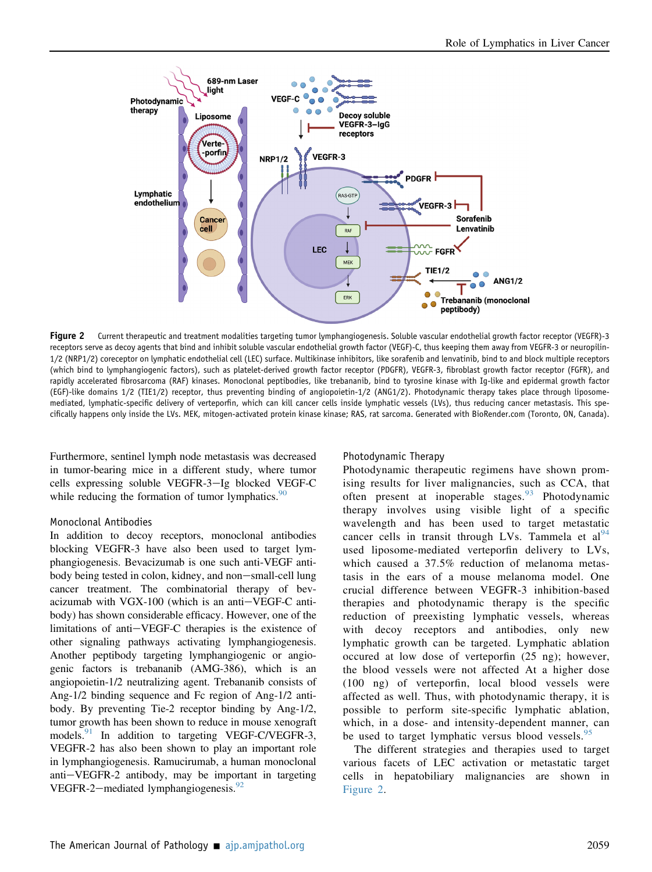<span id="page-7-0"></span>

Figure 2 Current therapeutic and treatment modalities targeting tumor lymphangiogenesis. Soluble vascular endothelial growth factor receptor (VEGFR)-3 receptors serve as decoy agents that bind and inhibit soluble vascular endothelial growth factor (VEGF)-C, thus keeping them away from VEGFR-3 or neuropilin-1/2 (NRP1/2) coreceptor on lymphatic endothelial cell (LEC) surface. Multikinase inhibitors, like sorafenib and lenvatinib, bind to and block multiple receptors (which bind to lymphangiogenic factors), such as platelet-derived growth factor receptor (PDGFR), VEGFR-3, fibroblast growth factor receptor (FGFR), and rapidly accelerated fibrosarcoma (RAF) kinases. Monoclonal peptibodies, like trebananib, bind to tyrosine kinase with Ig-like and epidermal growth factor (EGF)-like domains 1/2 (TIE1/2) receptor, thus preventing binding of angiopoietin-1/2 (ANG1/2). Photodynamic therapy takes place through liposomemediated, lymphatic-specific delivery of verteporfin, which can kill cancer cells inside lymphatic vessels (LVs), thus reducing cancer metastasis. This specifically happens only inside the LVs. MEK, mitogen-activated protein kinase kinase; RAS, rat sarcoma. Generated with BioRender.com (Toronto, ON, Canada).

Furthermore, sentinel lymph node metastasis was decreased in tumor-bearing mice in a different study, where tumor cells expressing soluble VEGFR-3-Ig blocked VEGF-C while reducing the formation of tumor lymphatics.  $90$ 

#### Monoclonal Antibodies

In addition to decoy receptors, monoclonal antibodies blocking VEGFR-3 have also been used to target lymphangiogenesis. Bevacizumab is one such anti-VEGF antibody being tested in colon, kidney, and non-small-cell lung cancer treatment. The combinatorial therapy of bevacizumab with  $VGX-100$  (which is an anti $-VEGF-C$  antibody) has shown considerable efficacy. However, one of the limitations of anti-VEGF-C therapies is the existence of other signaling pathways activating lymphangiogenesis. Another peptibody targeting lymphangiogenic or angiogenic factors is trebananib (AMG-386), which is an angiopoietin-1/2 neutralizing agent. Trebananib consists of Ang-1/2 binding sequence and Fc region of Ang-1/2 antibody. By preventing Tie-2 receptor binding by Ang-1/2, tumor growth has been shown to reduce in mouse xenograft models.<sup>[91](#page-11-11)</sup> In addition to targeting VEGF-C/VEGFR-3, VEGFR-2 has also been shown to play an important role in lymphangiogenesis. Ramucirumab, a human monoclonal  $anti-VEGFR-2$  antibody, may be important in targeting VEGFR-2-mediated lymphangiogenesis. $^{92}$  $^{92}$  $^{92}$ 

#### Photodynamic Therapy

Photodynamic therapeutic regimens have shown promising results for liver malignancies, such as CCA, that often present at inoperable stages.<sup>[93](#page-11-13)</sup> Photodynamic therapy involves using visible light of a specific wavelength and has been used to target metastatic cancer cells in transit through LVs. Tammela et  $al^{94}$  $al^{94}$  $al^{94}$ used liposome-mediated verteporfin delivery to LVs, which caused a 37.5% reduction of melanoma metastasis in the ears of a mouse melanoma model. One crucial difference between VEGFR-3 inhibition-based therapies and photodynamic therapy is the specific reduction of preexisting lymphatic vessels, whereas with decoy receptors and antibodies, only new lymphatic growth can be targeted. Lymphatic ablation occured at low dose of verteporfin (25 ng); however, the blood vessels were not affected At a higher dose (100 ng) of verteporfin, local blood vessels were affected as well. Thus, with photodynamic therapy, it is possible to perform site-specific lymphatic ablation, which, in a dose- and intensity-dependent manner, can be used to target lymphatic versus blood vessels.<sup>[95](#page-11-15)</sup>

The different strategies and therapies used to target various facets of LEC activation or metastatic target cells in hepatobiliary malignancies are shown in [Figure 2](#page-7-0).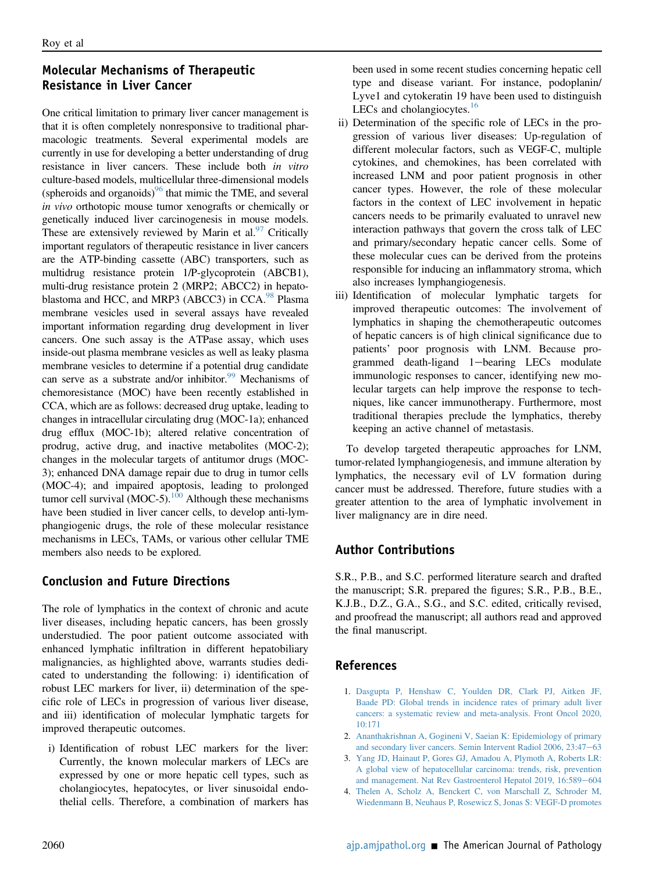## Molecular Mechanisms of Therapeutic Resistance in Liver Cancer

One critical limitation to primary liver cancer management is that it is often completely nonresponsive to traditional pharmacologic treatments. Several experimental models are currently in use for developing a better understanding of drug resistance in liver cancers. These include both in vitro culture-based models, multicellular three-dimensional models (spheroids and organoids) $96$  that mimic the TME, and several in vivo orthotopic mouse tumor xenografts or chemically or genetically induced liver carcinogenesis in mouse models. These are extensively reviewed by Marin et al. $97$  Critically important regulators of therapeutic resistance in liver cancers are the ATP-binding cassette (ABC) transporters, such as multidrug resistance protein 1/P-glycoprotein (ABCB1), multi-drug resistance protein 2 (MRP2; ABCC2) in hepato-blastoma and HCC, and MRP3 (ABCC3) in CCA.<sup>[98](#page-11-18)</sup> Plasma membrane vesicles used in several assays have revealed important information regarding drug development in liver cancers. One such assay is the ATPase assay, which uses inside-out plasma membrane vesicles as well as leaky plasma membrane vesicles to determine if a potential drug candidate can serve as a substrate and/or inhibitor.<sup>99</sup> Mechanisms of chemoresistance (MOC) have been recently established in CCA, which are as follows: decreased drug uptake, leading to changes in intracellular circulating drug (MOC-1a); enhanced drug efflux (MOC-1b); altered relative concentration of prodrug, active drug, and inactive metabolites (MOC-2); changes in the molecular targets of antitumor drugs (MOC-3); enhanced DNA damage repair due to drug in tumor cells (MOC-4); and impaired apoptosis, leading to prolonged tumor cell survival (MOC-5).<sup>100</sup> Although these mechanisms have been studied in liver cancer cells, to develop anti-lymphangiogenic drugs, the role of these molecular resistance mechanisms in LECs, TAMs, or various other cellular TME members also needs to be explored.

## Conclusion and Future Directions

The role of lymphatics in the context of chronic and acute liver diseases, including hepatic cancers, has been grossly understudied. The poor patient outcome associated with enhanced lymphatic infiltration in different hepatobiliary malignancies, as highlighted above, warrants studies dedicated to understanding the following: i) identification of robust LEC markers for liver, ii) determination of the specific role of LECs in progression of various liver disease, and iii) identification of molecular lymphatic targets for improved therapeutic outcomes.

i) Identification of robust LEC markers for the liver: Currently, the known molecular markers of LECs are expressed by one or more hepatic cell types, such as cholangiocytes, hepatocytes, or liver sinusoidal endothelial cells. Therefore, a combination of markers has been used in some recent studies concerning hepatic cell type and disease variant. For instance, podoplanin/ Lyve1 and cytokeratin 19 have been used to distinguish LECs and cholangiocytes.<sup>[16](#page-9-25)</sup>

- ii) Determination of the specific role of LECs in the progression of various liver diseases: Up-regulation of different molecular factors, such as VEGF-C, multiple cytokines, and chemokines, has been correlated with increased LNM and poor patient prognosis in other cancer types. However, the role of these molecular factors in the context of LEC involvement in hepatic cancers needs to be primarily evaluated to unravel new interaction pathways that govern the cross talk of LEC and primary/secondary hepatic cancer cells. Some of these molecular cues can be derived from the proteins responsible for inducing an inflammatory stroma, which also increases lymphangiogenesis.
- iii) Identification of molecular lymphatic targets for improved therapeutic outcomes: The involvement of lymphatics in shaping the chemotherapeutic outcomes of hepatic cancers is of high clinical significance due to patients' poor prognosis with LNM. Because programmed death-ligand 1-bearing LECs modulate immunologic responses to cancer, identifying new molecular targets can help improve the response to techniques, like cancer immunotherapy. Furthermore, most traditional therapies preclude the lymphatics, thereby keeping an active channel of metastasis.

To develop targeted therapeutic approaches for LNM, tumor-related lymphangiogenesis, and immune alteration by lymphatics, the necessary evil of LV formation during cancer must be addressed. Therefore, future studies with a greater attention to the area of lymphatic involvement in liver malignancy are in dire need.

## Author Contributions

S.R., P.B., and S.C. performed literature search and drafted the manuscript; S.R. prepared the figures; S.R., P.B., B.E., K.J.B., D.Z., G.A., S.G., and S.C. edited, critically revised, and proofread the manuscript; all authors read and approved the final manuscript.

## <span id="page-8-0"></span>References

- 1. [Dasgupta P, Henshaw C, Youlden DR, Clark PJ, Aitken JF,](http://refhub.elsevier.com/S0002-9440(21)00384-9/sref1) [Baade PD: Global trends in incidence rates of primary adult liver](http://refhub.elsevier.com/S0002-9440(21)00384-9/sref1) [cancers: a systematic review and meta-analysis. Front Oncol 2020,](http://refhub.elsevier.com/S0002-9440(21)00384-9/sref1) [10:171](http://refhub.elsevier.com/S0002-9440(21)00384-9/sref1)
- <span id="page-8-2"></span><span id="page-8-1"></span>2. [Ananthakrishnan A, Gogineni V, Saeian K: Epidemiology of primary](http://refhub.elsevier.com/S0002-9440(21)00384-9/sref2) [and secondary liver cancers. Semin Intervent Radiol 2006, 23:47](http://refhub.elsevier.com/S0002-9440(21)00384-9/sref2)-[63](http://refhub.elsevier.com/S0002-9440(21)00384-9/sref2)
- 3. [Yang JD, Hainaut P, Gores GJ, Amadou A, Plymoth A, Roberts LR:](http://refhub.elsevier.com/S0002-9440(21)00384-9/sref3) [A global view of hepatocellular carcinoma: trends, risk, prevention](http://refhub.elsevier.com/S0002-9440(21)00384-9/sref3) [and management. Nat Rev Gastroenterol Hepatol 2019, 16:589](http://refhub.elsevier.com/S0002-9440(21)00384-9/sref3)-[604](http://refhub.elsevier.com/S0002-9440(21)00384-9/sref3)
- <span id="page-8-3"></span>4. [Thelen A, Scholz A, Benckert C, von Marschall Z, Schroder M,](http://refhub.elsevier.com/S0002-9440(21)00384-9/sref4) [Wiedenmann B, Neuhaus P, Rosewicz S, Jonas S: VEGF-D promotes](http://refhub.elsevier.com/S0002-9440(21)00384-9/sref4)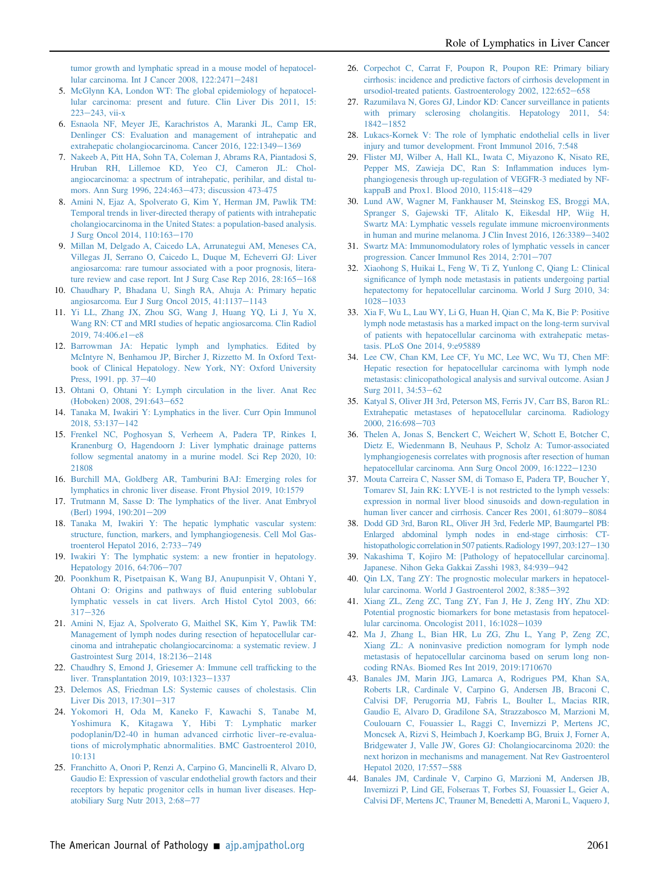[tumor growth and lymphatic spread in a mouse model of hepatocel](http://refhub.elsevier.com/S0002-9440(21)00384-9/sref4)[lular carcinoma. Int J Cancer 2008, 122:2471](http://refhub.elsevier.com/S0002-9440(21)00384-9/sref4)-[2481](http://refhub.elsevier.com/S0002-9440(21)00384-9/sref4)

- <span id="page-9-0"></span>5. [McGlynn KA, London WT: The global epidemiology of hepatocel](http://refhub.elsevier.com/S0002-9440(21)00384-9/sref5)[lular carcinoma: present and future. Clin Liver Dis 2011, 15:](http://refhub.elsevier.com/S0002-9440(21)00384-9/sref5)  $223 - 243$  $223 - 243$ , vii-x
- <span id="page-9-1"></span>6. [Esnaola NF, Meyer JE, Karachristos A, Maranki JL, Camp ER,](http://refhub.elsevier.com/S0002-9440(21)00384-9/sref6) [Denlinger CS: Evaluation and management of intrahepatic and](http://refhub.elsevier.com/S0002-9440(21)00384-9/sref6) [extrahepatic cholangiocarcinoma. Cancer 2016, 122:1349](http://refhub.elsevier.com/S0002-9440(21)00384-9/sref6)-[1369](http://refhub.elsevier.com/S0002-9440(21)00384-9/sref6)
- <span id="page-9-2"></span>7. [Nakeeb A, Pitt HA, Sohn TA, Coleman J, Abrams RA, Piantadosi S,](http://refhub.elsevier.com/S0002-9440(21)00384-9/sref7) [Hruban RH, Lillemoe KD, Yeo CJ, Cameron JL: Chol](http://refhub.elsevier.com/S0002-9440(21)00384-9/sref7)[angiocarcinoma: a spectrum of intrahepatic, perihilar, and distal tu](http://refhub.elsevier.com/S0002-9440(21)00384-9/sref7)[mors. Ann Surg 1996, 224:463](http://refhub.elsevier.com/S0002-9440(21)00384-9/sref7)-[473; discussion 473-475](http://refhub.elsevier.com/S0002-9440(21)00384-9/sref7)
- <span id="page-9-3"></span>8. [Amini N, Ejaz A, Spolverato G, Kim Y, Herman JM, Pawlik TM:](http://refhub.elsevier.com/S0002-9440(21)00384-9/sref8) [Temporal trends in liver-directed therapy of patients with intrahepatic](http://refhub.elsevier.com/S0002-9440(21)00384-9/sref8) [cholangiocarcinoma in the United States: a population-based analysis.](http://refhub.elsevier.com/S0002-9440(21)00384-9/sref8) [J Surg Oncol 2014, 110:163](http://refhub.elsevier.com/S0002-9440(21)00384-9/sref8)-[170](http://refhub.elsevier.com/S0002-9440(21)00384-9/sref8)
- <span id="page-9-4"></span>9. [Millan M, Delgado A, Caicedo LA, Arrunategui AM, Meneses CA,](http://refhub.elsevier.com/S0002-9440(21)00384-9/sref9) [Villegas JI, Serrano O, Caicedo L, Duque M, Echeverri GJ: Liver](http://refhub.elsevier.com/S0002-9440(21)00384-9/sref9) [angiosarcoma: rare tumour associated with a poor prognosis, litera](http://refhub.elsevier.com/S0002-9440(21)00384-9/sref9)[ture review and case report. Int J Surg Case Rep 2016, 28:165](http://refhub.elsevier.com/S0002-9440(21)00384-9/sref9)-[168](http://refhub.elsevier.com/S0002-9440(21)00384-9/sref9)
- <span id="page-9-5"></span>10. [Chaudhary P, Bhadana U, Singh RA, Ahuja A: Primary hepatic](http://refhub.elsevier.com/S0002-9440(21)00384-9/sref10) [angiosarcoma. Eur J Surg Oncol 2015, 41:1137](http://refhub.elsevier.com/S0002-9440(21)00384-9/sref10)-[1143](http://refhub.elsevier.com/S0002-9440(21)00384-9/sref10)
- <span id="page-9-6"></span>11. [Yi LL, Zhang JX, Zhou SG, Wang J, Huang YQ, Li J, Yu X,](http://refhub.elsevier.com/S0002-9440(21)00384-9/sref11) [Wang RN: CT and MRI studies of hepatic angiosarcoma. Clin Radiol](http://refhub.elsevier.com/S0002-9440(21)00384-9/sref11)  $2019, 74:406.e1 - e8$  $2019, 74:406.e1 - e8$  $2019, 74:406.e1 - e8$
- <span id="page-9-7"></span>12. [Barrowman JA: Hepatic lymph and lymphatics. Edited by](http://refhub.elsevier.com/S0002-9440(21)00384-9/sref12) [McIntyre N, Benhamou JP, Bircher J, Rizzetto M. In Oxford Text](http://refhub.elsevier.com/S0002-9440(21)00384-9/sref12)[book of Clinical Hepatology. New York, NY: Oxford University](http://refhub.elsevier.com/S0002-9440(21)00384-9/sref12) [Press, 1991. pp. 37](http://refhub.elsevier.com/S0002-9440(21)00384-9/sref12)-[40](http://refhub.elsevier.com/S0002-9440(21)00384-9/sref12)
- <span id="page-9-8"></span>13. [Ohtani O, Ohtani Y: Lymph circulation in the liver. Anat Rec](http://refhub.elsevier.com/S0002-9440(21)00384-9/sref13) [\(Hoboken\) 2008, 291:643](http://refhub.elsevier.com/S0002-9440(21)00384-9/sref13)-[652](http://refhub.elsevier.com/S0002-9440(21)00384-9/sref13)
- <span id="page-9-9"></span>14. [Tanaka M, Iwakiri Y: Lymphatics in the liver. Curr Opin Immunol](http://refhub.elsevier.com/S0002-9440(21)00384-9/sref14) [2018, 53:137](http://refhub.elsevier.com/S0002-9440(21)00384-9/sref14)-[142](http://refhub.elsevier.com/S0002-9440(21)00384-9/sref14)
- <span id="page-9-10"></span>15. [Frenkel NC, Poghosyan S, Verheem A, Padera TP, Rinkes I,](http://refhub.elsevier.com/S0002-9440(21)00384-9/sref15) [Kranenburg O, Hagendoorn J: Liver lymphatic drainage patterns](http://refhub.elsevier.com/S0002-9440(21)00384-9/sref15) [follow segmental anatomy in a murine model. Sci Rep 2020, 10:](http://refhub.elsevier.com/S0002-9440(21)00384-9/sref15) [21808](http://refhub.elsevier.com/S0002-9440(21)00384-9/sref15)
- <span id="page-9-25"></span>16. [Burchill MA, Goldberg AR, Tamburini BAJ: Emerging roles for](http://refhub.elsevier.com/S0002-9440(21)00384-9/sref16) [lymphatics in chronic liver disease. Front Physiol 2019, 10:1579](http://refhub.elsevier.com/S0002-9440(21)00384-9/sref16)
- <span id="page-9-26"></span>17. [Trutmann M, Sasse D: The lymphatics of the liver. Anat Embryol](http://refhub.elsevier.com/S0002-9440(21)00384-9/sref17) [\(Berl\) 1994, 190:201](http://refhub.elsevier.com/S0002-9440(21)00384-9/sref17)-[209](http://refhub.elsevier.com/S0002-9440(21)00384-9/sref17)
- <span id="page-9-11"></span>18. [Tanaka M, Iwakiri Y: The hepatic lymphatic vascular system:](http://refhub.elsevier.com/S0002-9440(21)00384-9/sref18) [structure, function, markers, and lymphangiogenesis. Cell Mol Gas](http://refhub.elsevier.com/S0002-9440(21)00384-9/sref18)[troenterol Hepatol 2016, 2:733](http://refhub.elsevier.com/S0002-9440(21)00384-9/sref18)-[749](http://refhub.elsevier.com/S0002-9440(21)00384-9/sref18)
- <span id="page-9-12"></span>19. [Iwakiri Y: The lymphatic system: a new frontier in hepatology.](http://refhub.elsevier.com/S0002-9440(21)00384-9/sref19) [Hepatology 2016, 64:706](http://refhub.elsevier.com/S0002-9440(21)00384-9/sref19)-[707](http://refhub.elsevier.com/S0002-9440(21)00384-9/sref19)
- <span id="page-9-13"></span>20. [Poonkhum R, Pisetpaisan K, Wang BJ, Anupunpisit V, Ohtani Y,](http://refhub.elsevier.com/S0002-9440(21)00384-9/sref20) [Ohtani O: Origins and pathways of](http://refhub.elsevier.com/S0002-9440(21)00384-9/sref20) fluid entering sublobular [lymphatic vessels in cat livers. Arch Histol Cytol 2003, 66:](http://refhub.elsevier.com/S0002-9440(21)00384-9/sref20)  $317 - 326$  $317 - 326$  $317 - 326$
- <span id="page-9-14"></span>21. [Amini N, Ejaz A, Spolverato G, Maithel SK, Kim Y, Pawlik TM:](http://refhub.elsevier.com/S0002-9440(21)00384-9/sref21) [Management of lymph nodes during resection of hepatocellular car](http://refhub.elsevier.com/S0002-9440(21)00384-9/sref21)[cinoma and intrahepatic cholangiocarcinoma: a systematic review. J](http://refhub.elsevier.com/S0002-9440(21)00384-9/sref21) [Gastrointest Surg 2014, 18:2136](http://refhub.elsevier.com/S0002-9440(21)00384-9/sref21)-[2148](http://refhub.elsevier.com/S0002-9440(21)00384-9/sref21)
- <span id="page-9-15"></span>22. [Chaudhry S, Emond J, Griesemer A: Immune cell traf](http://refhub.elsevier.com/S0002-9440(21)00384-9/sref22)ficking to the [liver. Transplantation 2019, 103:1323](http://refhub.elsevier.com/S0002-9440(21)00384-9/sref22)-[1337](http://refhub.elsevier.com/S0002-9440(21)00384-9/sref22)
- <span id="page-9-16"></span>23. [Delemos AS, Friedman LS: Systemic causes of cholestasis. Clin](http://refhub.elsevier.com/S0002-9440(21)00384-9/sref23) Liver Dis 2013,  $17:301-317$  $17:301-317$
- <span id="page-9-17"></span>24. [Yokomori H, Oda M, Kaneko F, Kawachi S, Tanabe M,](http://refhub.elsevier.com/S0002-9440(21)00384-9/sref24) [Yoshimura K, Kitagawa Y, Hibi T: Lymphatic marker](http://refhub.elsevier.com/S0002-9440(21)00384-9/sref24) [podoplanin/D2-40 in human advanced cirrhotic liver](http://refhub.elsevier.com/S0002-9440(21)00384-9/sref24)–re-evalua[tions of microlymphatic abnormalities. BMC Gastroenterol 2010,](http://refhub.elsevier.com/S0002-9440(21)00384-9/sref24) [10:131](http://refhub.elsevier.com/S0002-9440(21)00384-9/sref24)
- <span id="page-9-18"></span>25. [Franchitto A, Onori P, Renzi A, Carpino G, Mancinelli R, Alvaro D,](http://refhub.elsevier.com/S0002-9440(21)00384-9/sref25) [Gaudio E: Expression of vascular endothelial growth factors and their](http://refhub.elsevier.com/S0002-9440(21)00384-9/sref25) [receptors by hepatic progenitor cells in human liver diseases. Hep](http://refhub.elsevier.com/S0002-9440(21)00384-9/sref25)[atobiliary Surg Nutr 2013, 2:68](http://refhub.elsevier.com/S0002-9440(21)00384-9/sref25)-[77](http://refhub.elsevier.com/S0002-9440(21)00384-9/sref25)
- <span id="page-9-19"></span>26. [Corpechot C, Carrat F, Poupon R, Poupon RE: Primary biliary](http://refhub.elsevier.com/S0002-9440(21)00384-9/sref26) [cirrhosis: incidence and predictive factors of cirrhosis development in](http://refhub.elsevier.com/S0002-9440(21)00384-9/sref26) [ursodiol-treated patients. Gastroenterology 2002, 122:652](http://refhub.elsevier.com/S0002-9440(21)00384-9/sref26)-[658](http://refhub.elsevier.com/S0002-9440(21)00384-9/sref26)
- <span id="page-9-20"></span>27. [Razumilava N, Gores GJ, Lindor KD: Cancer surveillance in patients](http://refhub.elsevier.com/S0002-9440(21)00384-9/sref27) [with primary sclerosing cholangitis. Hepatology 2011, 54:](http://refhub.elsevier.com/S0002-9440(21)00384-9/sref27)  $1842 - 1852$  $1842 - 1852$  $1842 - 1852$
- <span id="page-9-21"></span>28. [Lukacs-Kornek V: The role of lymphatic endothelial cells in liver](http://refhub.elsevier.com/S0002-9440(21)00384-9/sref28) [injury and tumor development. Front Immunol 2016, 7:548](http://refhub.elsevier.com/S0002-9440(21)00384-9/sref28)
- <span id="page-9-22"></span>29. [Flister MJ, Wilber A, Hall KL, Iwata C, Miyazono K, Nisato RE,](http://refhub.elsevier.com/S0002-9440(21)00384-9/sref29) [Pepper MS, Zawieja DC, Ran S: In](http://refhub.elsevier.com/S0002-9440(21)00384-9/sref29)flammation induces lym[phangiogenesis through up-regulation of VEGFR-3 mediated by NF](http://refhub.elsevier.com/S0002-9440(21)00384-9/sref29)[kappaB and Prox1. Blood 2010, 115:418](http://refhub.elsevier.com/S0002-9440(21)00384-9/sref29)-[429](http://refhub.elsevier.com/S0002-9440(21)00384-9/sref29)
- <span id="page-9-23"></span>30. [Lund AW, Wagner M, Fankhauser M, Steinskog ES, Broggi MA,](http://refhub.elsevier.com/S0002-9440(21)00384-9/sref30) [Spranger S, Gajewski TF, Alitalo K, Eikesdal HP, Wiig H,](http://refhub.elsevier.com/S0002-9440(21)00384-9/sref30) [Swartz MA: Lymphatic vessels regulate immune microenvironments](http://refhub.elsevier.com/S0002-9440(21)00384-9/sref30) [in human and murine melanoma. J Clin Invest 2016, 126:3389](http://refhub.elsevier.com/S0002-9440(21)00384-9/sref30)-[3402](http://refhub.elsevier.com/S0002-9440(21)00384-9/sref30)
- <span id="page-9-24"></span>31. [Swartz MA: Immunomodulatory roles of lymphatic vessels in cancer](http://refhub.elsevier.com/S0002-9440(21)00384-9/sref31) progression. Cancer Immunol Res  $2014$ ,  $2:701-707$  $2:701-707$
- <span id="page-9-27"></span>32. [Xiaohong S, Huikai L, Feng W, Ti Z, Yunlong C, Qiang L: Clinical](http://refhub.elsevier.com/S0002-9440(21)00384-9/sref32) signifi[cance of lymph node metastasis in patients undergoing partial](http://refhub.elsevier.com/S0002-9440(21)00384-9/sref32) [hepatectomy for hepatocellular carcinoma. World J Surg 2010, 34:](http://refhub.elsevier.com/S0002-9440(21)00384-9/sref32) [1028](http://refhub.elsevier.com/S0002-9440(21)00384-9/sref32)-[1033](http://refhub.elsevier.com/S0002-9440(21)00384-9/sref32)
- <span id="page-9-28"></span>33. [Xia F, Wu L, Lau WY, Li G, Huan H, Qian C, Ma K, Bie P: Positive](http://refhub.elsevier.com/S0002-9440(21)00384-9/sref33) [lymph node metastasis has a marked impact on the long-term survival](http://refhub.elsevier.com/S0002-9440(21)00384-9/sref33) [of patients with hepatocellular carcinoma with extrahepatic metas](http://refhub.elsevier.com/S0002-9440(21)00384-9/sref33)[tasis. PLoS One 2014, 9:e95889](http://refhub.elsevier.com/S0002-9440(21)00384-9/sref33)
- <span id="page-9-29"></span>34. [Lee CW, Chan KM, Lee CF, Yu MC, Lee WC, Wu TJ, Chen MF:](http://refhub.elsevier.com/S0002-9440(21)00384-9/sref34) [Hepatic resection for hepatocellular carcinoma with lymph node](http://refhub.elsevier.com/S0002-9440(21)00384-9/sref34) [metastasis: clinicopathological analysis and survival outcome. Asian J](http://refhub.elsevier.com/S0002-9440(21)00384-9/sref34) [Surg 2011, 34:53](http://refhub.elsevier.com/S0002-9440(21)00384-9/sref34)-[62](http://refhub.elsevier.com/S0002-9440(21)00384-9/sref34)
- <span id="page-9-30"></span>35. [Katyal S, Oliver JH 3rd, Peterson MS, Ferris JV, Carr BS, Baron RL:](http://refhub.elsevier.com/S0002-9440(21)00384-9/sref35) [Extrahepatic metastases of hepatocellular carcinoma. Radiology](http://refhub.elsevier.com/S0002-9440(21)00384-9/sref35) [2000, 216:698](http://refhub.elsevier.com/S0002-9440(21)00384-9/sref35)-[703](http://refhub.elsevier.com/S0002-9440(21)00384-9/sref35)
- <span id="page-9-31"></span>36. [Thelen A, Jonas S, Benckert C, Weichert W, Schott E, Botcher C,](http://refhub.elsevier.com/S0002-9440(21)00384-9/sref36) [Dietz E, Wiedenmann B, Neuhaus P, Scholz A: Tumor-associated](http://refhub.elsevier.com/S0002-9440(21)00384-9/sref36) [lymphangiogenesis correlates with prognosis after resection of human](http://refhub.elsevier.com/S0002-9440(21)00384-9/sref36) [hepatocellular carcinoma. Ann Surg Oncol 2009, 16:1222](http://refhub.elsevier.com/S0002-9440(21)00384-9/sref36)-[1230](http://refhub.elsevier.com/S0002-9440(21)00384-9/sref36)
- <span id="page-9-32"></span>37. [Mouta Carreira C, Nasser SM, di Tomaso E, Padera TP, Boucher Y,](http://refhub.elsevier.com/S0002-9440(21)00384-9/sref37) [Tomarev SI, Jain RK: LYVE-1 is not restricted to the lymph vessels:](http://refhub.elsevier.com/S0002-9440(21)00384-9/sref37) [expression in normal liver blood sinusoids and down-regulation in](http://refhub.elsevier.com/S0002-9440(21)00384-9/sref37) [human liver cancer and cirrhosis. Cancer Res 2001, 61:8079](http://refhub.elsevier.com/S0002-9440(21)00384-9/sref37)-[8084](http://refhub.elsevier.com/S0002-9440(21)00384-9/sref37)
- <span id="page-9-33"></span>38. [Dodd GD 3rd, Baron RL, Oliver JH 3rd, Federle MP, Baumgartel PB:](http://refhub.elsevier.com/S0002-9440(21)00384-9/sref38) [Enlarged abdominal lymph nodes in end-stage cirrhosis: CT-](http://refhub.elsevier.com/S0002-9440(21)00384-9/sref38)histopathologic correlation in 507 patients. Radiology 1997, 203:127-[130](http://refhub.elsevier.com/S0002-9440(21)00384-9/sref38)
- <span id="page-9-34"></span>39. [Nakashima T, Kojiro M: \[Pathology of hepatocellular carcinoma\].](http://refhub.elsevier.com/S0002-9440(21)00384-9/sref39) [Japanese. Nihon Geka Gakkai Zasshi 1983, 84:939](http://refhub.elsevier.com/S0002-9440(21)00384-9/sref39)-[942](http://refhub.elsevier.com/S0002-9440(21)00384-9/sref39)
- <span id="page-9-35"></span>40. [Qin LX, Tang ZY: The prognostic molecular markers in hepatocel](http://refhub.elsevier.com/S0002-9440(21)00384-9/sref40)[lular carcinoma. World J Gastroenterol 2002, 8:385](http://refhub.elsevier.com/S0002-9440(21)00384-9/sref40)-[392](http://refhub.elsevier.com/S0002-9440(21)00384-9/sref40)
- <span id="page-9-36"></span>41. [Xiang ZL, Zeng ZC, Tang ZY, Fan J, He J, Zeng HY, Zhu XD:](http://refhub.elsevier.com/S0002-9440(21)00384-9/sref41) [Potential prognostic biomarkers for bone metastasis from hepatocel](http://refhub.elsevier.com/S0002-9440(21)00384-9/sref41)[lular carcinoma. Oncologist 2011, 16:1028](http://refhub.elsevier.com/S0002-9440(21)00384-9/sref41)-[1039](http://refhub.elsevier.com/S0002-9440(21)00384-9/sref41)
- <span id="page-9-37"></span>42. [Ma J, Zhang L, Bian HR, Lu ZG, Zhu L, Yang P, Zeng ZC,](http://refhub.elsevier.com/S0002-9440(21)00384-9/sref42) [Xiang ZL: A noninvasive prediction nomogram for lymph node](http://refhub.elsevier.com/S0002-9440(21)00384-9/sref42) [metastasis of hepatocellular carcinoma based on serum long non](http://refhub.elsevier.com/S0002-9440(21)00384-9/sref42)[coding RNAs. Biomed Res Int 2019, 2019:1710670](http://refhub.elsevier.com/S0002-9440(21)00384-9/sref42)
- <span id="page-9-38"></span>43. [Banales JM, Marin JJG, Lamarca A, Rodrigues PM, Khan SA,](http://refhub.elsevier.com/S0002-9440(21)00384-9/sref43) [Roberts LR, Cardinale V, Carpino G, Andersen JB, Braconi C,](http://refhub.elsevier.com/S0002-9440(21)00384-9/sref43) [Calvisi DF, Perugorria MJ, Fabris L, Boulter L, Macias RIR,](http://refhub.elsevier.com/S0002-9440(21)00384-9/sref43) [Gaudio E, Alvaro D, Gradilone SA, Strazzabosco M, Marzioni M,](http://refhub.elsevier.com/S0002-9440(21)00384-9/sref43) [Coulouarn C, Fouassier L, Raggi C, Invernizzi P, Mertens JC,](http://refhub.elsevier.com/S0002-9440(21)00384-9/sref43) [Moncsek A, Rizvi S, Heimbach J, Koerkamp BG, Bruix J, Forner A,](http://refhub.elsevier.com/S0002-9440(21)00384-9/sref43) [Bridgewater J, Valle JW, Gores GJ: Cholangiocarcinoma 2020: the](http://refhub.elsevier.com/S0002-9440(21)00384-9/sref43) [next horizon in mechanisms and management. Nat Rev Gastroenterol](http://refhub.elsevier.com/S0002-9440(21)00384-9/sref43) [Hepatol 2020, 17:557](http://refhub.elsevier.com/S0002-9440(21)00384-9/sref43)-[588](http://refhub.elsevier.com/S0002-9440(21)00384-9/sref43)
- <span id="page-9-39"></span>44. [Banales JM, Cardinale V, Carpino G, Marzioni M, Andersen JB,](http://refhub.elsevier.com/S0002-9440(21)00384-9/sref44) [Invernizzi P, Lind GE, Folseraas T, Forbes SJ, Fouassier L, Geier A,](http://refhub.elsevier.com/S0002-9440(21)00384-9/sref44) [Calvisi DF, Mertens JC, Trauner M, Benedetti A, Maroni L, Vaquero J,](http://refhub.elsevier.com/S0002-9440(21)00384-9/sref44)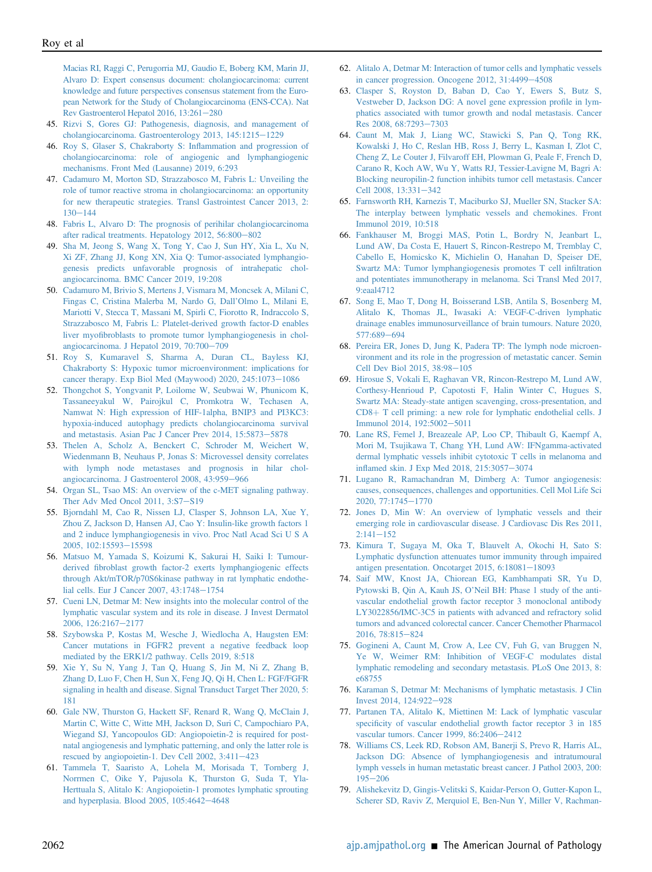[Macias RI, Raggi C, Perugorria MJ, Gaudio E, Boberg KM, Marin JJ,](http://refhub.elsevier.com/S0002-9440(21)00384-9/sref44) [Alvaro D: Expert consensus document: cholangiocarcinoma: current](http://refhub.elsevier.com/S0002-9440(21)00384-9/sref44) [knowledge and future perspectives consensus statement from the Euro](http://refhub.elsevier.com/S0002-9440(21)00384-9/sref44)[pean Network for the Study of Cholangiocarcinoma \(ENS-CCA\). Nat](http://refhub.elsevier.com/S0002-9440(21)00384-9/sref44) Rev Gastroenterol Hepatol 2016,  $13:261-280$  $13:261-280$ 

- <span id="page-10-0"></span>45. [Rizvi S, Gores GJ: Pathogenesis, diagnosis, and management of](http://refhub.elsevier.com/S0002-9440(21)00384-9/sref45) [cholangiocarcinoma. Gastroenterology 2013, 145:1215](http://refhub.elsevier.com/S0002-9440(21)00384-9/sref45)-[1229](http://refhub.elsevier.com/S0002-9440(21)00384-9/sref45)
- <span id="page-10-1"></span>46. [Roy S, Glaser S, Chakraborty S: In](http://refhub.elsevier.com/S0002-9440(21)00384-9/sref46)flammation and progression of [cholangiocarcinoma: role of angiogenic and lymphangiogenic](http://refhub.elsevier.com/S0002-9440(21)00384-9/sref46) [mechanisms. Front Med \(Lausanne\) 2019, 6:293](http://refhub.elsevier.com/S0002-9440(21)00384-9/sref46)
- <span id="page-10-2"></span>47. [Cadamuro M, Morton SD, Strazzabosco M, Fabris L: Unveiling the](http://refhub.elsevier.com/S0002-9440(21)00384-9/sref47) [role of tumor reactive stroma in cholangiocarcinoma: an opportunity](http://refhub.elsevier.com/S0002-9440(21)00384-9/sref47) [for new therapeutic strategies. Transl Gastrointest Cancer 2013, 2:](http://refhub.elsevier.com/S0002-9440(21)00384-9/sref47)  $130 - 144$  $130 - 144$  $130 - 144$
- <span id="page-10-3"></span>48. [Fabris L, Alvaro D: The prognosis of perihilar cholangiocarcinoma](http://refhub.elsevier.com/S0002-9440(21)00384-9/sref48) [after radical treatments. Hepatology 2012, 56:800](http://refhub.elsevier.com/S0002-9440(21)00384-9/sref48)-[802](http://refhub.elsevier.com/S0002-9440(21)00384-9/sref48)
- <span id="page-10-4"></span>49. [Sha M, Jeong S, Wang X, Tong Y, Cao J, Sun HY, Xia L, Xu N,](http://refhub.elsevier.com/S0002-9440(21)00384-9/sref49) [Xi ZF, Zhang JJ, Kong XN, Xia Q: Tumor-associated lymphangio](http://refhub.elsevier.com/S0002-9440(21)00384-9/sref49)[genesis predicts unfavorable prognosis of intrahepatic chol](http://refhub.elsevier.com/S0002-9440(21)00384-9/sref49)[angiocarcinoma. BMC Cancer 2019, 19:208](http://refhub.elsevier.com/S0002-9440(21)00384-9/sref49)
- <span id="page-10-5"></span>50. [Cadamuro M, Brivio S, Mertens J, Vismara M, Moncsek A, Milani C,](http://refhub.elsevier.com/S0002-9440(21)00384-9/sref50) [Fingas C, Cristina Malerba M, Nardo G, Dall](http://refhub.elsevier.com/S0002-9440(21)00384-9/sref50)'Olmo L, Milani E, [Mariotti V, Stecca T, Massani M, Spirli C, Fiorotto R, Indraccolo S,](http://refhub.elsevier.com/S0002-9440(21)00384-9/sref50) [Strazzabosco M, Fabris L: Platelet-derived growth factor-D enables](http://refhub.elsevier.com/S0002-9440(21)00384-9/sref50) liver myofi[broblasts to promote tumor lymphangiogenesis in chol](http://refhub.elsevier.com/S0002-9440(21)00384-9/sref50)[angiocarcinoma. J Hepatol 2019, 70:700](http://refhub.elsevier.com/S0002-9440(21)00384-9/sref50)-[709](http://refhub.elsevier.com/S0002-9440(21)00384-9/sref50)
- <span id="page-10-6"></span>51. [Roy S, Kumaravel S, Sharma A, Duran CL, Bayless KJ,](http://refhub.elsevier.com/S0002-9440(21)00384-9/sref51) [Chakraborty S: Hypoxic tumor microenvironment: implications for](http://refhub.elsevier.com/S0002-9440(21)00384-9/sref51) [cancer therapy. Exp Biol Med \(Maywood\) 2020, 245:1073](http://refhub.elsevier.com/S0002-9440(21)00384-9/sref51)-[1086](http://refhub.elsevier.com/S0002-9440(21)00384-9/sref51)
- <span id="page-10-7"></span>52. [Thongchot S, Yongvanit P, Loilome W, Seubwai W, Phunicom K,](http://refhub.elsevier.com/S0002-9440(21)00384-9/sref52) [Tassaneeyakul W, Pairojkul C, Promkotra W, Techasen A,](http://refhub.elsevier.com/S0002-9440(21)00384-9/sref52) [Namwat N: High expression of HIF-1alpha, BNIP3 and PI3KC3:](http://refhub.elsevier.com/S0002-9440(21)00384-9/sref52) [hypoxia-induced autophagy predicts cholangiocarcinoma survival](http://refhub.elsevier.com/S0002-9440(21)00384-9/sref52) [and metastasis. Asian Pac J Cancer Prev 2014, 15:5873](http://refhub.elsevier.com/S0002-9440(21)00384-9/sref52)-[5878](http://refhub.elsevier.com/S0002-9440(21)00384-9/sref52)
- <span id="page-10-8"></span>53. [Thelen A, Scholz A, Benckert C, Schroder M, Weichert W,](http://refhub.elsevier.com/S0002-9440(21)00384-9/sref53) [Wiedenmann B, Neuhaus P, Jonas S: Microvessel density correlates](http://refhub.elsevier.com/S0002-9440(21)00384-9/sref53) [with lymph node metastases and prognosis in hilar chol](http://refhub.elsevier.com/S0002-9440(21)00384-9/sref53)[angiocarcinoma. J Gastroenterol 2008, 43:959](http://refhub.elsevier.com/S0002-9440(21)00384-9/sref53)-[966](http://refhub.elsevier.com/S0002-9440(21)00384-9/sref53)
- <span id="page-10-9"></span>54. [Organ SL, Tsao MS: An overview of the c-MET signaling pathway.](http://refhub.elsevier.com/S0002-9440(21)00384-9/sref54) [Ther Adv Med Oncol 2011, 3:S7](http://refhub.elsevier.com/S0002-9440(21)00384-9/sref54)-[S19](http://refhub.elsevier.com/S0002-9440(21)00384-9/sref54)
- <span id="page-10-10"></span>55. [Bjorndahl M, Cao R, Nissen LJ, Clasper S, Johnson LA, Xue Y,](http://refhub.elsevier.com/S0002-9440(21)00384-9/sref55) [Zhou Z, Jackson D, Hansen AJ, Cao Y: Insulin-like growth factors 1](http://refhub.elsevier.com/S0002-9440(21)00384-9/sref55) [and 2 induce lymphangiogenesis in vivo. Proc Natl Acad Sci U S A](http://refhub.elsevier.com/S0002-9440(21)00384-9/sref55) [2005, 102:15593](http://refhub.elsevier.com/S0002-9440(21)00384-9/sref55)-[15598](http://refhub.elsevier.com/S0002-9440(21)00384-9/sref55)
- <span id="page-10-11"></span>56. [Matsuo M, Yamada S, Koizumi K, Sakurai H, Saiki I: Tumour](http://refhub.elsevier.com/S0002-9440(21)00384-9/sref56)derived fi[broblast growth factor-2 exerts lymphangiogenic effects](http://refhub.elsevier.com/S0002-9440(21)00384-9/sref56) [through Akt/mTOR/p70S6kinase pathway in rat lymphatic endothe](http://refhub.elsevier.com/S0002-9440(21)00384-9/sref56)[lial cells. Eur J Cancer 2007, 43:1748](http://refhub.elsevier.com/S0002-9440(21)00384-9/sref56)-[1754](http://refhub.elsevier.com/S0002-9440(21)00384-9/sref56)
- <span id="page-10-12"></span>57. [Cueni LN, Detmar M: New insights into the molecular control of the](http://refhub.elsevier.com/S0002-9440(21)00384-9/sref57) [lymphatic vascular system and its role in disease. J Invest Dermatol](http://refhub.elsevier.com/S0002-9440(21)00384-9/sref57) [2006, 126:2167](http://refhub.elsevier.com/S0002-9440(21)00384-9/sref57)-[2177](http://refhub.elsevier.com/S0002-9440(21)00384-9/sref57)
- <span id="page-10-13"></span>58. [Szybowska P, Kostas M, Wesche J, Wiedlocha A, Haugsten EM:](http://refhub.elsevier.com/S0002-9440(21)00384-9/sref58) [Cancer mutations in FGFR2 prevent a negative feedback loop](http://refhub.elsevier.com/S0002-9440(21)00384-9/sref58) [mediated by the ERK1/2 pathway. Cells 2019, 8:518](http://refhub.elsevier.com/S0002-9440(21)00384-9/sref58)
- <span id="page-10-14"></span>59. [Xie Y, Su N, Yang J, Tan Q, Huang S, Jin M, Ni Z, Zhang B,](http://refhub.elsevier.com/S0002-9440(21)00384-9/sref59) [Zhang D, Luo F, Chen H, Sun X, Feng JQ, Qi H, Chen L: FGF/FGFR](http://refhub.elsevier.com/S0002-9440(21)00384-9/sref59) [signaling in health and disease. Signal Transduct Target Ther 2020, 5:](http://refhub.elsevier.com/S0002-9440(21)00384-9/sref59) [181](http://refhub.elsevier.com/S0002-9440(21)00384-9/sref59)
- <span id="page-10-15"></span>60. [Gale NW, Thurston G, Hackett SF, Renard R, Wang Q, McClain J,](http://refhub.elsevier.com/S0002-9440(21)00384-9/sref60) [Martin C, Witte C, Witte MH, Jackson D, Suri C, Campochiaro PA,](http://refhub.elsevier.com/S0002-9440(21)00384-9/sref60) [Wiegand SJ, Yancopoulos GD: Angiopoietin-2 is required for post](http://refhub.elsevier.com/S0002-9440(21)00384-9/sref60)[natal angiogenesis and lymphatic patterning, and only the latter role is](http://refhub.elsevier.com/S0002-9440(21)00384-9/sref60) rescued by angiopoietin-1. Dev Cell 2002,  $3:411-423$  $3:411-423$
- <span id="page-10-16"></span>61. [Tammela T, Saaristo A, Lohela M, Morisada T, Tornberg J,](http://refhub.elsevier.com/S0002-9440(21)00384-9/sref61) [Norrmen C, Oike Y, Pajusola K, Thurston G, Suda T, Yla-](http://refhub.elsevier.com/S0002-9440(21)00384-9/sref61)[Herttuala S, Alitalo K: Angiopoietin-1 promotes lymphatic sprouting](http://refhub.elsevier.com/S0002-9440(21)00384-9/sref61) [and hyperplasia. Blood 2005, 105:4642](http://refhub.elsevier.com/S0002-9440(21)00384-9/sref61)-[4648](http://refhub.elsevier.com/S0002-9440(21)00384-9/sref61)
- <span id="page-10-17"></span>62. [Alitalo A, Detmar M: Interaction of tumor cells and lymphatic vessels](http://refhub.elsevier.com/S0002-9440(21)00384-9/sref62) [in cancer progression. Oncogene 2012, 31:4499](http://refhub.elsevier.com/S0002-9440(21)00384-9/sref62)-[4508](http://refhub.elsevier.com/S0002-9440(21)00384-9/sref62)
- <span id="page-10-18"></span>63. [Clasper S, Royston D, Baban D, Cao Y, Ewers S, Butz S,](http://refhub.elsevier.com/S0002-9440(21)00384-9/sref63) [Vestweber D, Jackson DG: A novel gene expression pro](http://refhub.elsevier.com/S0002-9440(21)00384-9/sref63)file in lym[phatics associated with tumor growth and nodal metastasis. Cancer](http://refhub.elsevier.com/S0002-9440(21)00384-9/sref63) [Res 2008, 68:7293](http://refhub.elsevier.com/S0002-9440(21)00384-9/sref63)-[7303](http://refhub.elsevier.com/S0002-9440(21)00384-9/sref63)
- <span id="page-10-19"></span>64. [Caunt M, Mak J, Liang WC, Stawicki S, Pan Q, Tong RK,](http://refhub.elsevier.com/S0002-9440(21)00384-9/sref64) [Kowalski J, Ho C, Reslan HB, Ross J, Berry L, Kasman I, Zlot C,](http://refhub.elsevier.com/S0002-9440(21)00384-9/sref64) [Cheng Z, Le Couter J, Filvaroff EH, Plowman G, Peale F, French D,](http://refhub.elsevier.com/S0002-9440(21)00384-9/sref64) [Carano R, Koch AW, Wu Y, Watts RJ, Tessier-Lavigne M, Bagri A:](http://refhub.elsevier.com/S0002-9440(21)00384-9/sref64) [Blocking neuropilin-2 function inhibits tumor cell metastasis. Cancer](http://refhub.elsevier.com/S0002-9440(21)00384-9/sref64) [Cell 2008, 13:331](http://refhub.elsevier.com/S0002-9440(21)00384-9/sref64)-[342](http://refhub.elsevier.com/S0002-9440(21)00384-9/sref64)
- <span id="page-10-20"></span>65. [Farnsworth RH, Karnezis T, Maciburko SJ, Mueller SN, Stacker SA:](http://refhub.elsevier.com/S0002-9440(21)00384-9/sref65) [The interplay between lymphatic vessels and chemokines. Front](http://refhub.elsevier.com/S0002-9440(21)00384-9/sref65) [Immunol 2019, 10:518](http://refhub.elsevier.com/S0002-9440(21)00384-9/sref65)
- <span id="page-10-21"></span>66. [Fankhauser M, Broggi MAS, Potin L, Bordry N, Jeanbart L,](http://refhub.elsevier.com/S0002-9440(21)00384-9/sref66) [Lund AW, Da Costa E, Hauert S, Rincon-Restrepo M, Tremblay C,](http://refhub.elsevier.com/S0002-9440(21)00384-9/sref66) [Cabello E, Homicsko K, Michielin O, Hanahan D, Speiser DE,](http://refhub.elsevier.com/S0002-9440(21)00384-9/sref66) [Swartz MA: Tumor lymphangiogenesis promotes T cell in](http://refhub.elsevier.com/S0002-9440(21)00384-9/sref66)filtration [and potentiates immunotherapy in melanoma. Sci Transl Med 2017,](http://refhub.elsevier.com/S0002-9440(21)00384-9/sref66) [9:eaal4712](http://refhub.elsevier.com/S0002-9440(21)00384-9/sref66)
- <span id="page-10-22"></span>67. [Song E, Mao T, Dong H, Boisserand LSB, Antila S, Bosenberg M,](http://refhub.elsevier.com/S0002-9440(21)00384-9/sref67) [Alitalo K, Thomas JL, Iwasaki A: VEGF-C-driven lymphatic](http://refhub.elsevier.com/S0002-9440(21)00384-9/sref67) [drainage enables immunosurveillance of brain tumours. Nature 2020,](http://refhub.elsevier.com/S0002-9440(21)00384-9/sref67) [577:689](http://refhub.elsevier.com/S0002-9440(21)00384-9/sref67)-[694](http://refhub.elsevier.com/S0002-9440(21)00384-9/sref67)
- <span id="page-10-23"></span>68. [Pereira ER, Jones D, Jung K, Padera TP: The lymph node microen](http://refhub.elsevier.com/S0002-9440(21)00384-9/sref68)[vironment and its role in the progression of metastatic cancer. Semin](http://refhub.elsevier.com/S0002-9440(21)00384-9/sref68) [Cell Dev Biol 2015, 38:98](http://refhub.elsevier.com/S0002-9440(21)00384-9/sref68)-[105](http://refhub.elsevier.com/S0002-9440(21)00384-9/sref68)
- <span id="page-10-24"></span>69. [Hirosue S, Vokali E, Raghavan VR, Rincon-Restrepo M, Lund AW,](http://refhub.elsevier.com/S0002-9440(21)00384-9/sref69) [Corthesy-Henrioud P, Capotosti F, Halin Winter C, Hugues S,](http://refhub.elsevier.com/S0002-9440(21)00384-9/sref69) [Swartz MA: Steady-state antigen scavenging, cross-presentation, and](http://refhub.elsevier.com/S0002-9440(21)00384-9/sref69)  $CD8 + T$  $CD8 + T$  cell priming: a new role for lymphatic endothelial cells. J [Immunol 2014, 192:5002](http://refhub.elsevier.com/S0002-9440(21)00384-9/sref69)-[5011](http://refhub.elsevier.com/S0002-9440(21)00384-9/sref69)
- <span id="page-10-25"></span>70. [Lane RS, Femel J, Breazeale AP, Loo CP, Thibault G, Kaempf A,](http://refhub.elsevier.com/S0002-9440(21)00384-9/sref70) [Mori M, Tsujikawa T, Chang YH, Lund AW: IFNgamma-activated](http://refhub.elsevier.com/S0002-9440(21)00384-9/sref70) [dermal lymphatic vessels inhibit cytotoxic T cells in melanoma and](http://refhub.elsevier.com/S0002-9440(21)00384-9/sref70) infl[amed skin. J Exp Med 2018, 215:3057](http://refhub.elsevier.com/S0002-9440(21)00384-9/sref70)-[3074](http://refhub.elsevier.com/S0002-9440(21)00384-9/sref70)
- <span id="page-10-26"></span>71. [Lugano R, Ramachandran M, Dimberg A: Tumor angiogenesis:](http://refhub.elsevier.com/S0002-9440(21)00384-9/sref71) [causes, consequences, challenges and opportunities. Cell Mol Life Sci](http://refhub.elsevier.com/S0002-9440(21)00384-9/sref71) [2020, 77:1745](http://refhub.elsevier.com/S0002-9440(21)00384-9/sref71)-[1770](http://refhub.elsevier.com/S0002-9440(21)00384-9/sref71)
- <span id="page-10-27"></span>72. [Jones D, Min W: An overview of lymphatic vessels and their](http://refhub.elsevier.com/S0002-9440(21)00384-9/sref72) [emerging role in cardiovascular disease. J Cardiovasc Dis Res 2011,](http://refhub.elsevier.com/S0002-9440(21)00384-9/sref72)  $2:141 - 152$  $2:141 - 152$  $2:141 - 152$
- <span id="page-10-28"></span>73. [Kimura T, Sugaya M, Oka T, Blauvelt A, Okochi H, Sato S:](http://refhub.elsevier.com/S0002-9440(21)00384-9/sref73) [Lymphatic dysfunction attenuates tumor immunity through impaired](http://refhub.elsevier.com/S0002-9440(21)00384-9/sref73) antigen presentation. Oncotarget  $2015, 6:18081-18093$  $2015, 6:18081-18093$
- <span id="page-10-29"></span>74. [Saif MW, Knost JA, Chiorean EG, Kambhampati SR, Yu D,](http://refhub.elsevier.com/S0002-9440(21)00384-9/sref74) Pytowski B, Qin A, Kauh JS, O'[Neil BH: Phase 1 study of the anti](http://refhub.elsevier.com/S0002-9440(21)00384-9/sref74)[vascular endothelial growth factor receptor 3 monoclonal antibody](http://refhub.elsevier.com/S0002-9440(21)00384-9/sref74) [LY3022856/IMC-3C5 in patients with advanced and refractory solid](http://refhub.elsevier.com/S0002-9440(21)00384-9/sref74) [tumors and advanced colorectal cancer. Cancer Chemother Pharmacol](http://refhub.elsevier.com/S0002-9440(21)00384-9/sref74) [2016, 78:815](http://refhub.elsevier.com/S0002-9440(21)00384-9/sref74)-[824](http://refhub.elsevier.com/S0002-9440(21)00384-9/sref74)
- <span id="page-10-30"></span>75. [Gogineni A, Caunt M, Crow A, Lee CV, Fuh G, van Bruggen N,](http://refhub.elsevier.com/S0002-9440(21)00384-9/sref75) [Ye W, Weimer RM: Inhibition of VEGF-C modulates distal](http://refhub.elsevier.com/S0002-9440(21)00384-9/sref75) [lymphatic remodeling and secondary metastasis. PLoS One 2013, 8:](http://refhub.elsevier.com/S0002-9440(21)00384-9/sref75) [e68755](http://refhub.elsevier.com/S0002-9440(21)00384-9/sref75)
- <span id="page-10-31"></span>76. [Karaman S, Detmar M: Mechanisms of lymphatic metastasis. J Clin](http://refhub.elsevier.com/S0002-9440(21)00384-9/sref76) [Invest 2014, 124:922](http://refhub.elsevier.com/S0002-9440(21)00384-9/sref76)-[928](http://refhub.elsevier.com/S0002-9440(21)00384-9/sref76)
- <span id="page-10-32"></span>77. [Partanen TA, Alitalo K, Miettinen M: Lack of lymphatic vascular](http://refhub.elsevier.com/S0002-9440(21)00384-9/sref77) specifi[city of vascular endothelial growth factor receptor 3 in 185](http://refhub.elsevier.com/S0002-9440(21)00384-9/sref77) [vascular tumors. Cancer 1999, 86:2406](http://refhub.elsevier.com/S0002-9440(21)00384-9/sref77)-[2412](http://refhub.elsevier.com/S0002-9440(21)00384-9/sref77)
- <span id="page-10-33"></span>78. [Williams CS, Leek RD, Robson AM, Banerji S, Prevo R, Harris AL,](http://refhub.elsevier.com/S0002-9440(21)00384-9/sref78) [Jackson DG: Absence of lymphangiogenesis and intratumoural](http://refhub.elsevier.com/S0002-9440(21)00384-9/sref78) [lymph vessels in human metastatic breast cancer. J Pathol 2003, 200:](http://refhub.elsevier.com/S0002-9440(21)00384-9/sref78)  $195 - 206$  $195 - 206$  $195 - 206$
- <span id="page-10-34"></span>79. [Alishekevitz D, Gingis-Velitski S, Kaidar-Person O, Gutter-Kapon L,](http://refhub.elsevier.com/S0002-9440(21)00384-9/sref79) [Scherer SD, Raviv Z, Merquiol E, Ben-Nun Y, Miller V, Rachman-](http://refhub.elsevier.com/S0002-9440(21)00384-9/sref79)